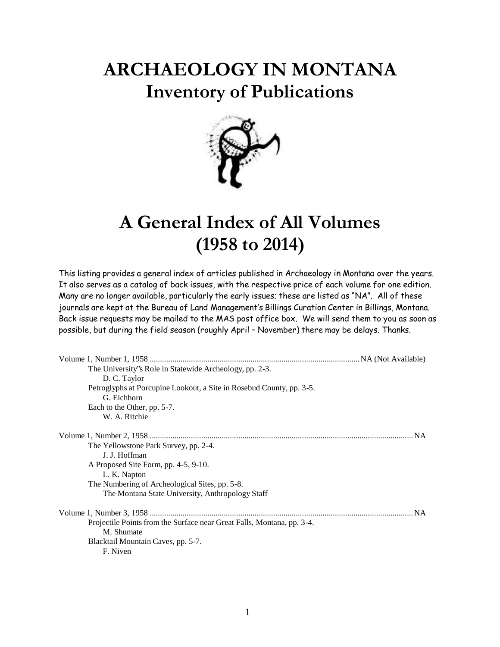## **ARCHAEOLOGY IN MONTANA Inventory of Publications**



## **A General Index of All Volumes (1958 to 2014)**

This listing provides a general index of articles published in Archaeology in Montana over the years. It also serves as a catalog of back issues, with the respective price of each volume for one edition. Many are no longer available, particularly the early issues; these are listed as "NA". All of these journals are kept at the Bureau of Land Management's Billings Curation Center in Billings, Montana. Back issue requests may be mailed to the MAS post office box. We will send them to you as soon as possible, but during the field season (roughly April – November) there may be delays. Thanks.

| The University's Role in Statewide Archeology, pp. 2-3.                |           |
|------------------------------------------------------------------------|-----------|
| D. C. Taylor                                                           |           |
| Petroglyphs at Porcupine Lookout, a Site in Rosebud County, pp. 3-5.   |           |
| G. Eichhorn                                                            |           |
| Each to the Other, pp. 5-7.                                            |           |
| W. A. Ritchie                                                          |           |
|                                                                        |           |
| The Yellowstone Park Survey, pp. 2-4.                                  |           |
| J. J. Hoffman                                                          |           |
| A Proposed Site Form, pp. 4-5, 9-10.                                   |           |
| L. K. Napton                                                           |           |
| The Numbering of Archeological Sites, pp. 5-8.                         |           |
| The Montana State University, Anthropology Staff                       |           |
|                                                                        | <b>NA</b> |
| Projectile Points from the Surface near Great Falls, Montana, pp. 3-4. |           |
| M. Shumate                                                             |           |
| Blacktail Mountain Caves, pp. 5-7.                                     |           |
| F. Niven                                                               |           |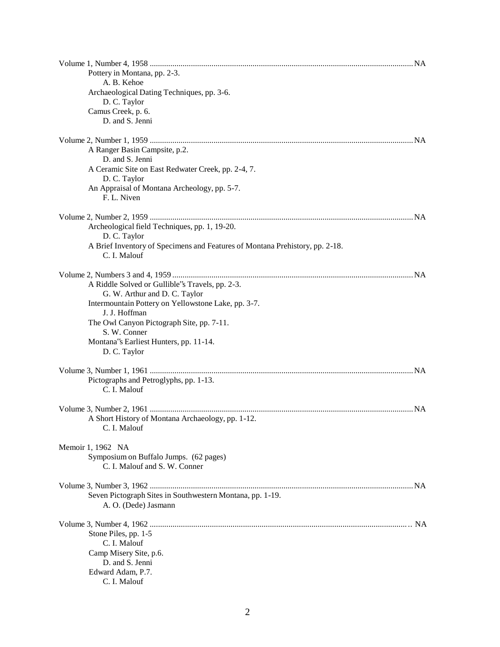| Pottery in Montana, pp. 2-3.                                                 |  |
|------------------------------------------------------------------------------|--|
| A. B. Kehoe                                                                  |  |
| Archaeological Dating Techniques, pp. 3-6.                                   |  |
| D. C. Taylor                                                                 |  |
| Camus Creek, p. 6.<br>D. and S. Jenni                                        |  |
|                                                                              |  |
|                                                                              |  |
| A Ranger Basin Campsite, p.2.                                                |  |
| D. and S. Jenni                                                              |  |
| A Ceramic Site on East Redwater Creek, pp. 2-4, 7.                           |  |
| D. C. Taylor                                                                 |  |
| An Appraisal of Montana Archeology, pp. 5-7.                                 |  |
| F. L. Niven                                                                  |  |
|                                                                              |  |
| Archeological field Techniques, pp. 1, 19-20.                                |  |
| D. C. Taylor                                                                 |  |
| A Brief Inventory of Specimens and Features of Montana Prehistory, pp. 2-18. |  |
| C. I. Malouf                                                                 |  |
|                                                                              |  |
|                                                                              |  |
| A Riddle Solved or Gullible''s Travels, pp. 2-3.                             |  |
| G. W. Arthur and D. C. Taylor                                                |  |
| Intermountain Pottery on Yellowstone Lake, pp. 3-7.                          |  |
| J. J. Hoffman                                                                |  |
| The Owl Canyon Pictograph Site, pp. 7-11.<br>S. W. Conner                    |  |
| Montana's Earliest Hunters, pp. 11-14.                                       |  |
| D. C. Taylor                                                                 |  |
|                                                                              |  |
|                                                                              |  |
| Pictographs and Petroglyphs, pp. 1-13.                                       |  |
| C. I. Malouf                                                                 |  |
|                                                                              |  |
|                                                                              |  |
| A Short History of Montana Archaeology, pp. 1-12.                            |  |
| C. I. Malouf                                                                 |  |
| Memoir 1, 1962 NA                                                            |  |
| Symposium on Buffalo Jumps. (62 pages)                                       |  |
| C. I. Malouf and S. W. Conner                                                |  |
|                                                                              |  |
|                                                                              |  |
| Seven Pictograph Sites in Southwestern Montana, pp. 1-19.                    |  |
| A. O. (Dede) Jasmann                                                         |  |
|                                                                              |  |
| Stone Piles, pp. 1-5                                                         |  |
| C. I. Malouf                                                                 |  |
| Camp Misery Site, p.6.                                                       |  |
| D. and S. Jenni                                                              |  |
| Edward Adam, P.7.                                                            |  |
| C. I. Malouf                                                                 |  |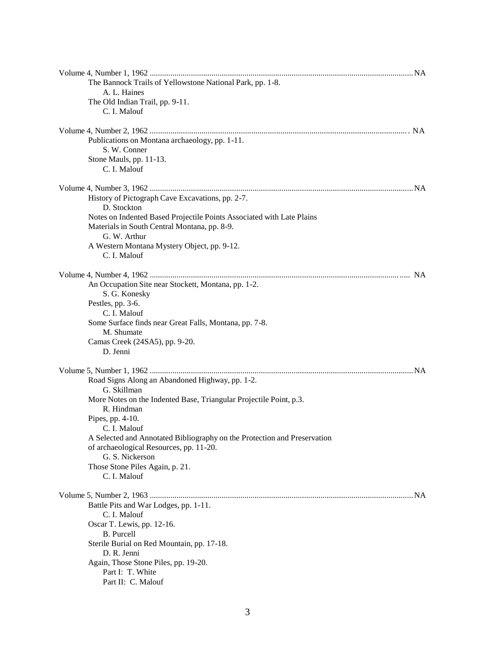| The Bannock Trails of Yellowstone National Park, pp. 1-8.                |  |
|--------------------------------------------------------------------------|--|
| A. L. Haines                                                             |  |
| The Old Indian Trail, pp. 9-11.                                          |  |
| C. I. Malouf                                                             |  |
|                                                                          |  |
| Publications on Montana archaeology, pp. 1-11.                           |  |
| S. W. Conner                                                             |  |
| Stone Mauls, pp. 11-13.                                                  |  |
| C. I. Malouf                                                             |  |
|                                                                          |  |
|                                                                          |  |
| History of Pictograph Cave Excavations, pp. 2-7.                         |  |
| D. Stockton                                                              |  |
| Notes on Indented Based Projectile Points Associated with Late Plains    |  |
| Materials in South Central Montana, pp. 8-9.                             |  |
| G. W. Arthur                                                             |  |
| A Western Montana Mystery Object, pp. 9-12.                              |  |
| C. I. Malouf                                                             |  |
|                                                                          |  |
| An Occupation Site near Stockett, Montana, pp. 1-2.                      |  |
| S. G. Konesky                                                            |  |
| Pestles, pp. 3-6.                                                        |  |
| C. I. Malouf                                                             |  |
| Some Surface finds near Great Falls, Montana, pp. 7-8.                   |  |
| M. Shumate                                                               |  |
| Camas Creek (24SA5), pp. 9-20.                                           |  |
| D. Jenni                                                                 |  |
|                                                                          |  |
| Road Signs Along an Abandoned Highway, pp. 1-2.                          |  |
| G. Skillman                                                              |  |
| More Notes on the Indented Base, Triangular Projectile Point, p.3.       |  |
| R. Hindman                                                               |  |
| Pipes, pp. 4-10.                                                         |  |
| C. I. Malouf                                                             |  |
| A Selected and Annotated Bibliography on the Protection and Preservation |  |
| of archaeological Resources, pp. 11-20.                                  |  |
| G. S. Nickerson                                                          |  |
| Those Stone Piles Again, p. 21.                                          |  |
| C. I. Malouf                                                             |  |
|                                                                          |  |
| Battle Pits and War Lodges, pp. 1-11.                                    |  |
| C. I. Malouf                                                             |  |
| Oscar T. Lewis, pp. 12-16.                                               |  |
| <b>B.</b> Purcell                                                        |  |
| Sterile Burial on Red Mountain, pp. 17-18.                               |  |
| D. R. Jenni                                                              |  |
| Again, Those Stone Piles, pp. 19-20.                                     |  |
| Part I: T. White                                                         |  |
| Part II: C. Malouf                                                       |  |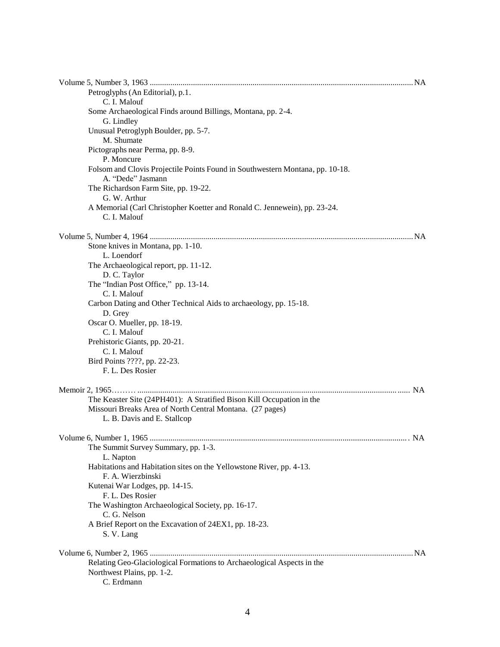| Petroglyphs (An Editorial), p.1.<br>C. I. Malouf                                                                                                                  |  |
|-------------------------------------------------------------------------------------------------------------------------------------------------------------------|--|
| Some Archaeological Finds around Billings, Montana, pp. 2-4.<br>G. Lindley                                                                                        |  |
| Unusual Petroglyph Boulder, pp. 5-7.<br>M. Shumate                                                                                                                |  |
| Pictographs near Perma, pp. 8-9.<br>P. Moncure                                                                                                                    |  |
| Folsom and Clovis Projectile Points Found in Southwestern Montana, pp. 10-18.<br>A. "Dede" Jasmann                                                                |  |
| The Richardson Farm Site, pp. 19-22.<br>G. W. Arthur                                                                                                              |  |
| A Memorial (Carl Christopher Koetter and Ronald C. Jennewein), pp. 23-24.<br>C. I. Malouf                                                                         |  |
|                                                                                                                                                                   |  |
| Stone knives in Montana, pp. 1-10.<br>L. Loendorf                                                                                                                 |  |
| The Archaeological report, pp. 11-12.<br>D. C. Taylor                                                                                                             |  |
| The "Indian Post Office," pp. 13-14.<br>C. I. Malouf                                                                                                              |  |
| Carbon Dating and Other Technical Aids to archaeology, pp. 15-18.<br>D. Grey                                                                                      |  |
| Oscar O. Mueller, pp. 18-19.<br>C. I. Malouf                                                                                                                      |  |
| Prehistoric Giants, pp. 20-21.<br>C. I. Malouf                                                                                                                    |  |
| Bird Points ????, pp. 22-23.<br>F. L. Des Rosier                                                                                                                  |  |
|                                                                                                                                                                   |  |
| The Keaster Site (24PH401): A Stratified Bison Kill Occupation in the<br>Missouri Breaks Area of North Central Montana. (27 pages)<br>L. B. Davis and E. Stallcop |  |
|                                                                                                                                                                   |  |
| The Summit Survey Summary, pp. 1-3.<br>L. Napton                                                                                                                  |  |
| Habitations and Habitation sites on the Yellowstone River, pp. 4-13.<br>F. A. Wierzbinski                                                                         |  |
| Kutenai War Lodges, pp. 14-15.<br>F. L. Des Rosier                                                                                                                |  |
| The Washington Archaeological Society, pp. 16-17.<br>C. G. Nelson                                                                                                 |  |
| A Brief Report on the Excavation of 24EX1, pp. 18-23.<br>S. V. Lang                                                                                               |  |
|                                                                                                                                                                   |  |
| Relating Geo-Glaciological Formations to Archaeological Aspects in the<br>Northwest Plains, pp. 1-2.<br>C. Erdmann                                                |  |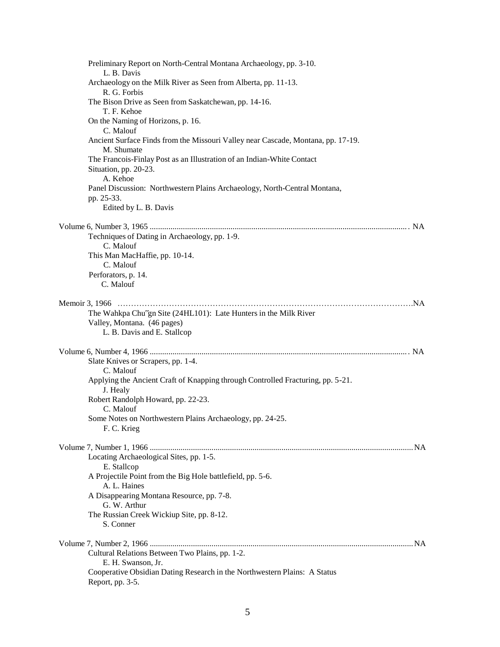| Preliminary Report on North-Central Montana Archaeology, pp. 3-10.<br>L. B. Davis              |  |
|------------------------------------------------------------------------------------------------|--|
| Archaeology on the Milk River as Seen from Alberta, pp. 11-13.<br>R. G. Forbis                 |  |
| The Bison Drive as Seen from Saskatchewan, pp. 14-16.                                          |  |
| T. F. Kehoe                                                                                    |  |
| On the Naming of Horizons, p. 16.<br>C. Malouf                                                 |  |
| Ancient Surface Finds from the Missouri Valley near Cascade, Montana, pp. 17-19.<br>M. Shumate |  |
| The Francois-Finlay Post as an Illustration of an Indian-White Contact                         |  |
| Situation, pp. 20-23.                                                                          |  |
| A. Kehoe                                                                                       |  |
| Panel Discussion: Northwestern Plains Archaeology, North-Central Montana,<br>pp. 25-33.        |  |
| Edited by L. B. Davis                                                                          |  |
|                                                                                                |  |
|                                                                                                |  |
| Techniques of Dating in Archaeology, pp. 1-9.                                                  |  |
| C. Malouf                                                                                      |  |
| This Man MacHaffie, pp. 10-14.                                                                 |  |
| C. Malouf                                                                                      |  |
| Perforators, p. 14.<br>C. Malouf                                                               |  |
|                                                                                                |  |
|                                                                                                |  |
| The Wahkpa Chu"gn Site (24HL101): Late Hunters in the Milk River                               |  |
| Valley, Montana. (46 pages)                                                                    |  |
| L. B. Davis and E. Stallcop                                                                    |  |
|                                                                                                |  |
|                                                                                                |  |
| Slate Knives or Scrapers, pp. 1-4.<br>C. Malouf                                                |  |
| Applying the Ancient Craft of Knapping through Controlled Fracturing, pp. 5-21.                |  |
| J. Healy                                                                                       |  |
| Robert Randolph Howard, pp. 22-23.                                                             |  |
| C. Malouf                                                                                      |  |
| Some Notes on Northwestern Plains Archaeology, pp. 24-25.                                      |  |
| F. C. Krieg                                                                                    |  |
|                                                                                                |  |
| Locating Archaeological Sites, pp. 1-5.                                                        |  |
| E. Stallcop                                                                                    |  |
| A Projectile Point from the Big Hole battlefield, pp. 5-6.                                     |  |
| A. L. Haines                                                                                   |  |
| A Disappearing Montana Resource, pp. 7-8.                                                      |  |
| G. W. Arthur                                                                                   |  |
| The Russian Creek Wickiup Site, pp. 8-12.                                                      |  |
| S. Conner                                                                                      |  |
|                                                                                                |  |
| Cultural Relations Between Two Plains, pp. 1-2.                                                |  |
| E. H. Swanson, Jr.                                                                             |  |
| Cooperative Obsidian Dating Research in the Northwestern Plains: A Status                      |  |
| Report, pp. 3-5.                                                                               |  |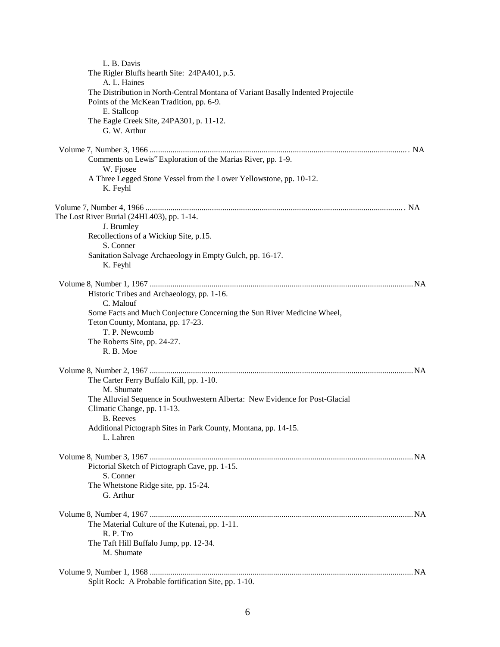| L. B. Davis                                                                         |  |
|-------------------------------------------------------------------------------------|--|
| The Rigler Bluffs hearth Site: 24PA401, p.5.                                        |  |
| A. L. Haines                                                                        |  |
| The Distribution in North-Central Montana of Variant Basally Indented Projectile    |  |
| Points of the McKean Tradition, pp. 6-9.                                            |  |
| E. Stallcop                                                                         |  |
| The Eagle Creek Site, 24PA301, p. 11-12.<br>G. W. Arthur                            |  |
|                                                                                     |  |
|                                                                                     |  |
| Comments on Lewis" Exploration of the Marias River, pp. 1-9.                        |  |
| W. Fjosee                                                                           |  |
| A Three Legged Stone Vessel from the Lower Yellowstone, pp. 10-12.                  |  |
| K. Feyhl                                                                            |  |
|                                                                                     |  |
| The Lost River Burial (24HL403), pp. 1-14.                                          |  |
| J. Brumley                                                                          |  |
| Recollections of a Wickiup Site, p.15.                                              |  |
| S. Conner                                                                           |  |
| Sanitation Salvage Archaeology in Empty Gulch, pp. 16-17.                           |  |
| K. Feyhl                                                                            |  |
|                                                                                     |  |
| Historic Tribes and Archaeology, pp. 1-16.                                          |  |
| C. Malouf                                                                           |  |
| Some Facts and Much Conjecture Concerning the Sun River Medicine Wheel,             |  |
| Teton County, Montana, pp. 17-23.                                                   |  |
| T. P. Newcomb                                                                       |  |
| The Roberts Site, pp. 24-27.<br>R. B. Moe                                           |  |
|                                                                                     |  |
|                                                                                     |  |
| The Carter Ferry Buffalo Kill, pp. 1-10.                                            |  |
| M. Shumate                                                                          |  |
| The Alluvial Sequence in Southwestern Alberta: New Evidence for Post-Glacial        |  |
| Climatic Change, pp. 11-13.                                                         |  |
| <b>B.</b> Reeves<br>Additional Pictograph Sites in Park County, Montana, pp. 14-15. |  |
| L. Lahren                                                                           |  |
|                                                                                     |  |
|                                                                                     |  |
| Pictorial Sketch of Pictograph Cave, pp. 1-15.                                      |  |
| S. Conner                                                                           |  |
| The Whetstone Ridge site, pp. 15-24.                                                |  |
| G. Arthur                                                                           |  |
|                                                                                     |  |
| The Material Culture of the Kutenai, pp. 1-11.                                      |  |
| R. P. Tro                                                                           |  |
| The Taft Hill Buffalo Jump, pp. 12-34.                                              |  |
| M. Shumate                                                                          |  |
|                                                                                     |  |
|                                                                                     |  |
| Split Rock: A Probable fortification Site, pp. 1-10.                                |  |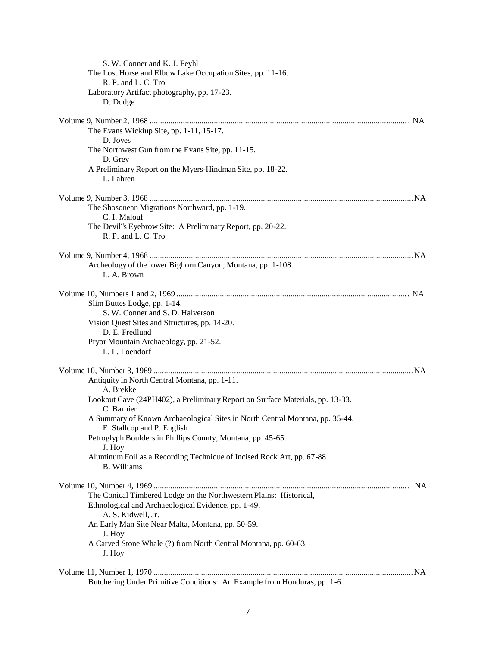| S. W. Conner and K. J. Feyhl                                                     |  |
|----------------------------------------------------------------------------------|--|
| The Lost Horse and Elbow Lake Occupation Sites, pp. 11-16.                       |  |
| R. P. and L. C. Tro                                                              |  |
| Laboratory Artifact photography, pp. 17-23.<br>D. Dodge                          |  |
|                                                                                  |  |
|                                                                                  |  |
| The Evans Wickiup Site, pp. 1-11, 15-17.                                         |  |
| D. Joyes                                                                         |  |
| The Northwest Gun from the Evans Site, pp. 11-15.                                |  |
| D. Grey                                                                          |  |
| A Preliminary Report on the Myers-Hindman Site, pp. 18-22.<br>L. Lahren          |  |
|                                                                                  |  |
|                                                                                  |  |
| The Shosonean Migrations Northward, pp. 1-19.                                    |  |
| C. I. Malouf                                                                     |  |
| The Devil"s Eyebrow Site: A Preliminary Report, pp. 20-22.                       |  |
| R. P. and L. C. Tro                                                              |  |
|                                                                                  |  |
|                                                                                  |  |
| Archeology of the lower Bighorn Canyon, Montana, pp. 1-108.<br>L. A. Brown       |  |
|                                                                                  |  |
|                                                                                  |  |
| Slim Buttes Lodge, pp. 1-14.                                                     |  |
| S. W. Conner and S. D. Halverson                                                 |  |
| Vision Quest Sites and Structures, pp. 14-20.                                    |  |
| D. E. Fredlund                                                                   |  |
| Pryor Mountain Archaeology, pp. 21-52.                                           |  |
| L. L. Loendorf                                                                   |  |
|                                                                                  |  |
| Antiquity in North Central Montana, pp. 1-11.                                    |  |
| A. Brekke                                                                        |  |
| Lookout Cave (24PH402), a Preliminary Report on Surface Materials, pp. 13-33.    |  |
| C. Barnier                                                                       |  |
| A Summary of Known Archaeological Sites in North Central Montana, pp. 35-44.     |  |
| E. Stallcop and P. English                                                       |  |
| Petroglyph Boulders in Phillips County, Montana, pp. 45-65.                      |  |
| J. Hoy<br>Aluminum Foil as a Recording Technique of Incised Rock Art, pp. 67-88. |  |
| <b>B.</b> Williams                                                               |  |
|                                                                                  |  |
|                                                                                  |  |
| The Conical Timbered Lodge on the Northwestern Plains: Historical,               |  |
| Ethnological and Archaeological Evidence, pp. 1-49.                              |  |
| A. S. Kidwell, Jr.                                                               |  |
| An Early Man Site Near Malta, Montana, pp. 50-59.                                |  |
| J. Hoy<br>A Carved Stone Whale (?) from North Central Montana, pp. 60-63.        |  |
| J. Hoy                                                                           |  |
|                                                                                  |  |
|                                                                                  |  |
| Butchering Under Primitive Conditions: An Example from Honduras, pp. 1-6.        |  |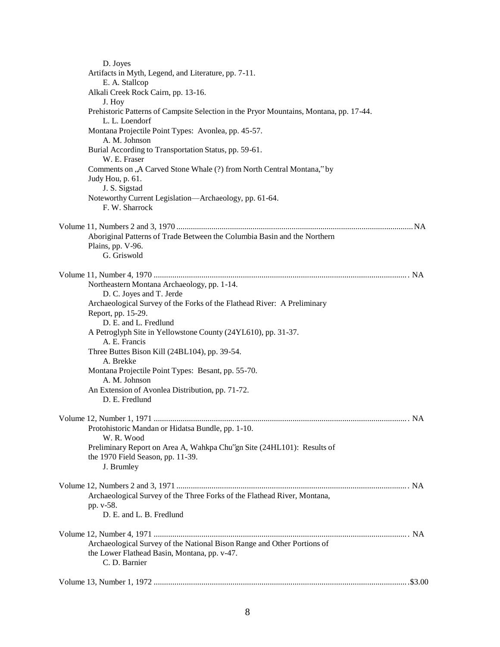| D. Joyes                                                                                                 |  |
|----------------------------------------------------------------------------------------------------------|--|
| Artifacts in Myth, Legend, and Literature, pp. 7-11.                                                     |  |
| E. A. Stallcop                                                                                           |  |
| Alkali Creek Rock Cairn, pp. 13-16.                                                                      |  |
| J. Hoy                                                                                                   |  |
| Prehistoric Patterns of Campsite Selection in the Pryor Mountains, Montana, pp. 17-44.<br>L. L. Loendorf |  |
| Montana Projectile Point Types: Avonlea, pp. 45-57.                                                      |  |
| A. M. Johnson                                                                                            |  |
| Burial According to Transportation Status, pp. 59-61.                                                    |  |
| W. E. Fraser                                                                                             |  |
| Comments on ,A Carved Stone Whale (?) from North Central Montana," by                                    |  |
| Judy Hou, p. 61.                                                                                         |  |
| J. S. Sigstad                                                                                            |  |
| Noteworthy Current Legislation-Archaeology, pp. 61-64.<br>F. W. Sharrock                                 |  |
|                                                                                                          |  |
| Aboriginal Patterns of Trade Between the Columbia Basin and the Northern                                 |  |
| Plains, pp. V-96.                                                                                        |  |
| G. Griswold                                                                                              |  |
|                                                                                                          |  |
| Northeastern Montana Archaeology, pp. 1-14.                                                              |  |
| D. C. Joyes and T. Jerde                                                                                 |  |
| Archaeological Survey of the Forks of the Flathead River: A Preliminary                                  |  |
| Report, pp. 15-29.                                                                                       |  |
| D. E. and L. Fredlund                                                                                    |  |
| A Petroglyph Site in Yellowstone County (24YL610), pp. 31-37.                                            |  |
| A. E. Francis                                                                                            |  |
| Three Buttes Bison Kill (24BL104), pp. 39-54.                                                            |  |
| A. Brekke                                                                                                |  |
| Montana Projectile Point Types: Besant, pp. 55-70.<br>A. M. Johnson                                      |  |
| An Extension of Avonlea Distribution, pp. 71-72.                                                         |  |
| D. E. Fredlund                                                                                           |  |
|                                                                                                          |  |
|                                                                                                          |  |
| Protohistoric Mandan or Hidatsa Bundle, pp. 1-10.                                                        |  |
| W. R. Wood                                                                                               |  |
| Preliminary Report on Area A, Wahkpa Chu"gn Site (24HL101): Results of                                   |  |
| the 1970 Field Season, pp. 11-39.                                                                        |  |
| J. Brumley                                                                                               |  |
|                                                                                                          |  |
|                                                                                                          |  |
| Archaeological Survey of the Three Forks of the Flathead River, Montana,                                 |  |
| pp. v-58.<br>D. E. and L. B. Fredlund                                                                    |  |
|                                                                                                          |  |
|                                                                                                          |  |
| Archaeological Survey of the National Bison Range and Other Portions of                                  |  |
| the Lower Flathead Basin, Montana, pp. v-47.                                                             |  |
| C. D. Barnier                                                                                            |  |
|                                                                                                          |  |
|                                                                                                          |  |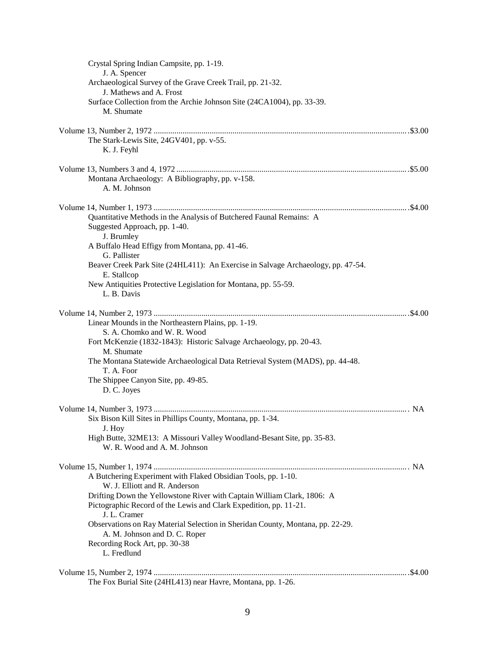| Crystal Spring Indian Campsite, pp. 1-19.<br>J. A. Spencer                                                                                   |  |
|----------------------------------------------------------------------------------------------------------------------------------------------|--|
| Archaeological Survey of the Grave Creek Trail, pp. 21-32.                                                                                   |  |
| J. Mathews and A. Frost                                                                                                                      |  |
| Surface Collection from the Archie Johnson Site (24CA1004), pp. 33-39.<br>M. Shumate                                                         |  |
|                                                                                                                                              |  |
| The Stark-Lewis Site, 24GV401, pp. v-55.<br>K. J. Feyhl                                                                                      |  |
|                                                                                                                                              |  |
| Montana Archaeology: A Bibliography, pp. v-158.<br>A. M. Johnson                                                                             |  |
|                                                                                                                                              |  |
| Quantitative Methods in the Analysis of Butchered Faunal Remains: A<br>Suggested Approach, pp. 1-40.<br>J. Brumley                           |  |
| A Buffalo Head Effigy from Montana, pp. 41-46.<br>G. Pallister                                                                               |  |
| Beaver Creek Park Site (24HL411): An Exercise in Salvage Archaeology, pp. 47-54.<br>E. Stallcop                                              |  |
| New Antiquities Protective Legislation for Montana, pp. 55-59.<br>L. B. Davis                                                                |  |
|                                                                                                                                              |  |
| Linear Mounds in the Northeastern Plains, pp. 1-19.                                                                                          |  |
| S. A. Chomko and W. R. Wood<br>Fort McKenzie (1832-1843): Historic Salvage Archaeology, pp. 20-43.                                           |  |
| M. Shumate                                                                                                                                   |  |
| The Montana Statewide Archaeological Data Retrieval System (MADS), pp. 44-48.<br>T. A. Foor                                                  |  |
| The Shippee Canyon Site, pp. 49-85.                                                                                                          |  |
| D. C. Joyes                                                                                                                                  |  |
|                                                                                                                                              |  |
| Six Bison Kill Sites in Phillips County, Montana, pp. 1-34.<br>J. Hoy                                                                        |  |
| High Butte, 32ME13: A Missouri Valley Woodland-Besant Site, pp. 35-83.<br>W. R. Wood and A. M. Johnson                                       |  |
|                                                                                                                                              |  |
| A Butchering Experiment with Flaked Obsidian Tools, pp. 1-10.<br>W. J. Elliott and R. Anderson                                               |  |
| Drifting Down the Yellowstone River with Captain William Clark, 1806: A<br>Pictographic Record of the Lewis and Clark Expedition, pp. 11-21. |  |
| J. L. Cramer                                                                                                                                 |  |
| Observations on Ray Material Selection in Sheridan County, Montana, pp. 22-29.<br>A. M. Johnson and D. C. Roper                              |  |
| Recording Rock Art, pp. 30-38<br>L. Fredlund                                                                                                 |  |
| The Fox Burial Site (24HL413) near Havre, Montana, pp. 1-26.                                                                                 |  |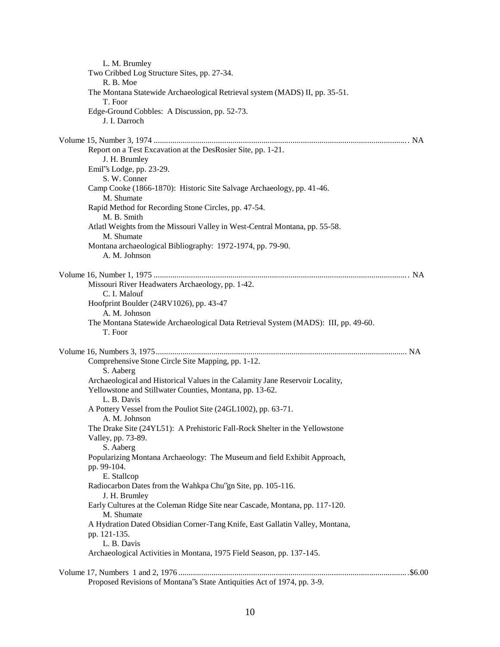| L. M. Brumley                                                                                                                             |
|-------------------------------------------------------------------------------------------------------------------------------------------|
| Two Cribbed Log Structure Sites, pp. 27-34.                                                                                               |
| R. B. Moe<br>The Montana Statewide Archaeological Retrieval system (MADS) II, pp. 35-51.                                                  |
| T. Foor                                                                                                                                   |
| Edge-Ground Cobbles: A Discussion, pp. 52-73.<br>J. I. Darroch                                                                            |
|                                                                                                                                           |
| Report on a Test Excavation at the DesRosier Site, pp. 1-21.<br>J. H. Brumley                                                             |
| Emil''s Lodge, pp. 23-29.<br>S. W. Conner                                                                                                 |
| Camp Cooke (1866-1870): Historic Site Salvage Archaeology, pp. 41-46.<br>M. Shumate                                                       |
| Rapid Method for Recording Stone Circles, pp. 47-54.                                                                                      |
| M. B. Smith<br>Atlatl Weights from the Missouri Valley in West-Central Montana, pp. 55-58.<br>M. Shumate                                  |
| Montana archaeological Bibliography: 1972-1974, pp. 79-90.<br>A. M. Johnson                                                               |
|                                                                                                                                           |
| Missouri River Headwaters Archaeology, pp. 1-42.<br>C. I. Malouf                                                                          |
| Hoofprint Boulder (24RV1026), pp. 43-47<br>A. M. Johnson                                                                                  |
| The Montana Statewide Archaeological Data Retrieval System (MADS): III, pp. 49-60.<br>T. Foor                                             |
|                                                                                                                                           |
| Comprehensive Stone Circle Site Mapping, pp. 1-12.<br>S. Aaberg                                                                           |
| Archaeological and Historical Values in the Calamity Jane Reservoir Locality,<br>Yellowstone and Stillwater Counties, Montana, pp. 13-62. |
| L. B. Davis<br>A Pottery Vessel from the Pouliot Site (24GL1002), pp. 63-71.<br>A. M. Johnson                                             |
| The Drake Site (24YL51): A Prehistoric Fall-Rock Shelter in the Yellowstone<br>Valley, pp. 73-89.                                         |
| S. Aaberg                                                                                                                                 |
| Popularizing Montana Archaeology: The Museum and field Exhibit Approach,<br>pp. 99-104.                                                   |
| E. Stallcop<br>Radiocarbon Dates from the Wahkpa Chu"gn Site, pp. 105-116.<br>J. H. Brumley                                               |
| Early Cultures at the Coleman Ridge Site near Cascade, Montana, pp. 117-120.<br>M. Shumate                                                |
| A Hydration Dated Obsidian Corner-Tang Knife, East Gallatin Valley, Montana,<br>pp. 121-135.                                              |
| L. B. Davis                                                                                                                               |
| Archaeological Activities in Montana, 1975 Field Season, pp. 137-145.                                                                     |
| Proposed Revisions of Montana's State Antiquities Act of 1974, pp. 3-9.                                                                   |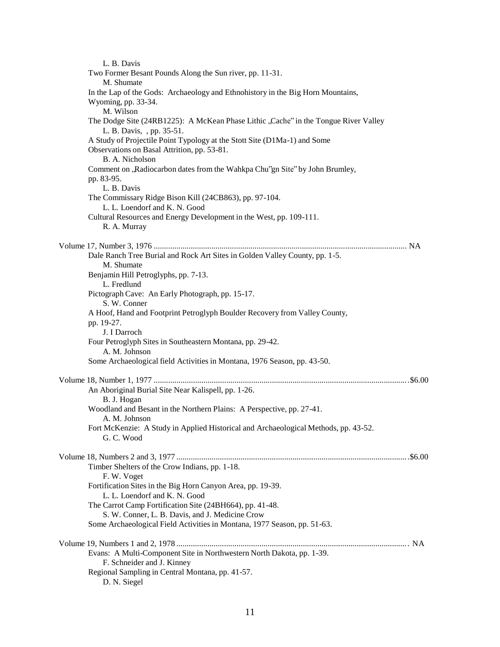| L. B. Davis                                                                                                      |  |
|------------------------------------------------------------------------------------------------------------------|--|
| Two Former Besant Pounds Along the Sun river, pp. 11-31.                                                         |  |
| M. Shumate                                                                                                       |  |
| In the Lap of the Gods: Archaeology and Ethnohistory in the Big Horn Mountains,                                  |  |
| Wyoming, pp. 33-34.                                                                                              |  |
| M. Wilson                                                                                                        |  |
| The Dodge Site (24RB1225): A McKean Phase Lithic "Cache" in the Tongue River Valley<br>L. B. Davis, , pp. 35-51. |  |
| A Study of Projectile Point Typology at the Stott Site (D1Ma-1) and Some                                         |  |
| Observations on Basal Attrition, pp. 53-81.<br>B. A. Nicholson                                                   |  |
| Comment on "Radiocarbon dates from the Wahkpa Chu"gn Site" by John Brumley,                                      |  |
| pp. 83-95.                                                                                                       |  |
| L. B. Davis                                                                                                      |  |
| The Commissary Ridge Bison Kill (24CB863), pp. 97-104.<br>L. L. Loendorf and K. N. Good                          |  |
| Cultural Resources and Energy Development in the West, pp. 109-111.                                              |  |
| R. A. Murray                                                                                                     |  |
|                                                                                                                  |  |
|                                                                                                                  |  |
| Dale Ranch Tree Burial and Rock Art Sites in Golden Valley County, pp. 1-5.                                      |  |
| M. Shumate                                                                                                       |  |
| Benjamin Hill Petroglyphs, pp. 7-13.                                                                             |  |
| L. Fredlund                                                                                                      |  |
| Pictograph Cave: An Early Photograph, pp. 15-17.<br>S. W. Conner                                                 |  |
| A Hoof, Hand and Footprint Petroglyph Boulder Recovery from Valley County,                                       |  |
| pp. 19-27.<br>J. I Darroch                                                                                       |  |
| Four Petroglyph Sites in Southeastern Montana, pp. 29-42.<br>A. M. Johnson                                       |  |
| Some Archaeological field Activities in Montana, 1976 Season, pp. 43-50.                                         |  |
|                                                                                                                  |  |
|                                                                                                                  |  |
| An Aboriginal Burial Site Near Kalispell, pp. 1-26.<br>B. J. Hogan                                               |  |
| Woodland and Besant in the Northern Plains: A Perspective, pp. 27-41.<br>A. M. Johnson                           |  |
| Fort McKenzie: A Study in Applied Historical and Archaeological Methods, pp. 43-52.                              |  |
| G.C. Wood                                                                                                        |  |
|                                                                                                                  |  |
|                                                                                                                  |  |
| Timber Shelters of the Crow Indians, pp. 1-18.<br>F. W. Voget                                                    |  |
| Fortification Sites in the Big Horn Canyon Area, pp. 19-39.                                                      |  |
| L. L. Loendorf and K. N. Good                                                                                    |  |
| The Carrot Camp Fortification Site (24BH664), pp. 41-48.                                                         |  |
| S. W. Conner, L. B. Davis, and J. Medicine Crow                                                                  |  |
| Some Archaeological Field Activities in Montana, 1977 Season, pp. 51-63.                                         |  |
|                                                                                                                  |  |
|                                                                                                                  |  |
| Evans: A Multi-Component Site in Northwestern North Dakota, pp. 1-39.                                            |  |
| F. Schneider and J. Kinney                                                                                       |  |
| Regional Sampling in Central Montana, pp. 41-57.                                                                 |  |
| D. N. Siegel                                                                                                     |  |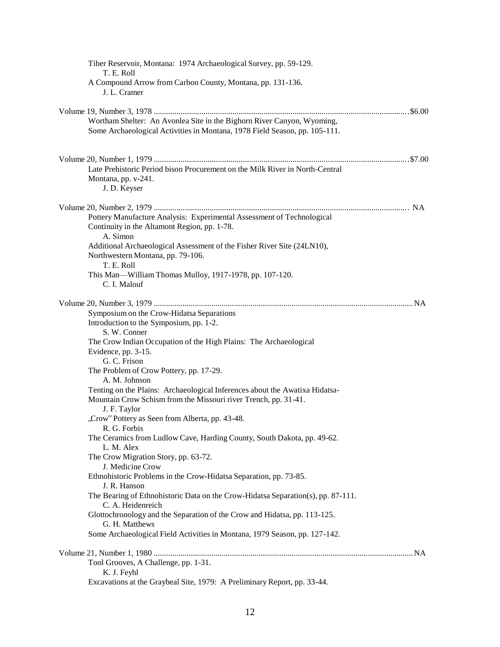| Tiber Reservoir, Montana: 1974 Archaeological Survey, pp. 59-129.<br>T. E. Roll                                                                                |
|----------------------------------------------------------------------------------------------------------------------------------------------------------------|
| A Compound Arrow from Carbon County, Montana, pp. 131-136.<br>J. L. Cramer                                                                                     |
|                                                                                                                                                                |
| Wortham Shelter: An Avonlea Site in the Bighorn River Canyon, Wyoming,                                                                                         |
| Some Archaeological Activities in Montana, 1978 Field Season, pp. 105-111.                                                                                     |
|                                                                                                                                                                |
| Late Prehistoric Period bison Procurement on the Milk River in North-Central<br>Montana, pp. v-241.<br>J. D. Keyser                                            |
|                                                                                                                                                                |
| Pottery Manufacture Analysis: Experimental Assessment of Technological<br>Continuity in the Altamont Region, pp. 1-78.<br>A. Simon                             |
| Additional Archaeological Assessment of the Fisher River Site (24LN10),<br>Northwestern Montana, pp. 79-106.<br>T. E. Roll                                     |
| This Man—William Thomas Mulloy, 1917-1978, pp. 107-120.<br>C. I. Malouf                                                                                        |
|                                                                                                                                                                |
| Symposium on the Crow-Hidatsa Separations                                                                                                                      |
| Introduction to the Symposium, pp. 1-2.                                                                                                                        |
| S. W. Conner<br>The Crow Indian Occupation of the High Plains: The Archaeological                                                                              |
| Evidence, pp. 3-15.                                                                                                                                            |
| G. C. Frison                                                                                                                                                   |
| The Problem of Crow Pottery, pp. 17-29.                                                                                                                        |
| A. M. Johnson                                                                                                                                                  |
| Tenting on the Plains: Archaeological Inferences about the Awatixa Hidatsa-<br>Mountain Crow Schism from the Missouri river Trench, pp. 31-41.<br>J. F. Taylor |
| "Crow" Pottery as Seen from Alberta, pp. 43-48.<br>R. G. Forbis                                                                                                |
| The Ceramics from Ludlow Cave, Harding County, South Dakota, pp. 49-62.<br>L. M. Alex                                                                          |
| The Crow Migration Story, pp. 63-72.<br>J. Medicine Crow                                                                                                       |
| Ethnohistoric Problems in the Crow-Hidatsa Separation, pp. 73-85.<br>J. R. Hanson                                                                              |
| The Bearing of Ethnohistoric Data on the Crow-Hidatsa Separation(s), pp. 87-111.<br>C. A. Heidenreich                                                          |
| Glottochronology and the Separation of the Crow and Hidatsa, pp. 113-125.<br>G. H. Matthews                                                                    |
| Some Archaeological Field Activities in Montana, 1979 Season, pp. 127-142.                                                                                     |
|                                                                                                                                                                |
| Tool Grooves, A Challenge, pp. 1-31.                                                                                                                           |
| K. J. Feyhl<br>Excavations at the Graybeal Site, 1979: A Preliminary Report, pp. 33-44.                                                                        |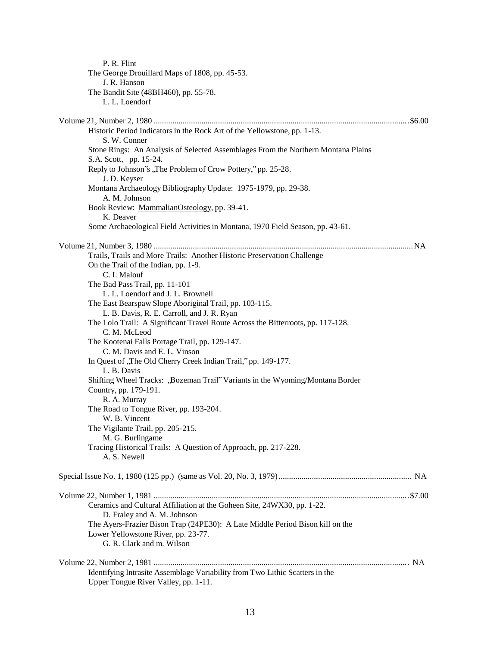| P. R. Flint                                                                       |  |
|-----------------------------------------------------------------------------------|--|
| The George Drouillard Maps of 1808, pp. 45-53.                                    |  |
| J. R. Hanson                                                                      |  |
| The Bandit Site (48BH460), pp. 55-78.                                             |  |
| L. L. Loendorf                                                                    |  |
|                                                                                   |  |
|                                                                                   |  |
| Historic Period Indicators in the Rock Art of the Yellowstone, pp. 1-13.          |  |
| S. W. Conner                                                                      |  |
| Stone Rings: An Analysis of Selected Assemblages From the Northern Montana Plains |  |
| S.A. Scott, pp. 15-24.                                                            |  |
| Reply to Johnson's "The Problem of Crow Pottery," pp. 25-28.                      |  |
| J. D. Keyser                                                                      |  |
| Montana Archaeology Bibliography Update: 1975-1979, pp. 29-38.                    |  |
|                                                                                   |  |
| A. M. Johnson                                                                     |  |
| Book Review: MammalianOsteology, pp. 39-41.                                       |  |
| K. Deaver                                                                         |  |
| Some Archaeological Field Activities in Montana, 1970 Field Season, pp. 43-61.    |  |
|                                                                                   |  |
|                                                                                   |  |
| Trails, Trails and More Trails: Another Historic Preservation Challenge           |  |
| On the Trail of the Indian, pp. 1-9.                                              |  |
| C. I. Malouf                                                                      |  |
| The Bad Pass Trail, pp. 11-101                                                    |  |
| L. L. Loendorf and J. L. Brownell                                                 |  |
| The East Bearspaw Slope Aboriginal Trail, pp. 103-115.                            |  |
| L. B. Davis, R. E. Carroll, and J. R. Ryan                                        |  |
| The Lolo Trail: A Significant Travel Route Across the Bitterroots, pp. 117-128.   |  |
| C. M. McLeod                                                                      |  |
| The Kootenai Falls Portage Trail, pp. 129-147.                                    |  |
| C. M. Davis and E. L. Vinson                                                      |  |
| In Quest of "The Old Cherry Creek Indian Trail," pp. 149-177.                     |  |
| L. B. Davis                                                                       |  |
| Shifting Wheel Tracks: "Bozeman Trail" Variants in the Wyoming/Montana Border     |  |
| Country, pp. 179-191.                                                             |  |
| R. A. Murray                                                                      |  |
| The Road to Tongue River, pp. 193-204.                                            |  |
|                                                                                   |  |
| W. B. Vincent                                                                     |  |
| The Vigilante Trail, pp. 205-215.                                                 |  |
| M. G. Burlingame                                                                  |  |
| Tracing Historical Trails: A Question of Approach, pp. 217-228.                   |  |
| A. S. Newell                                                                      |  |
|                                                                                   |  |
|                                                                                   |  |
|                                                                                   |  |
|                                                                                   |  |
| Ceramics and Cultural Affiliation at the Goheen Site, 24WX30, pp. 1-22.           |  |
| D. Fraley and A. M. Johnson                                                       |  |
| The Ayers-Frazier Bison Trap (24PE30): A Late Middle Period Bison kill on the     |  |
| Lower Yellowstone River, pp. 23-77.                                               |  |
| G. R. Clark and m. Wilson                                                         |  |
|                                                                                   |  |
|                                                                                   |  |
| Identifying Intrasite Assemblage Variability from Two Lithic Scatters in the      |  |
| Upper Tongue River Valley, pp. 1-11.                                              |  |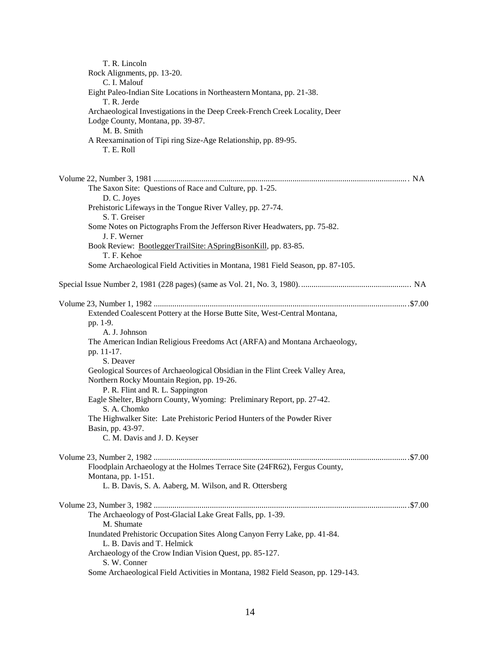| T. R. Lincoln<br>Rock Alignments, pp. 13-20.                                                             |  |
|----------------------------------------------------------------------------------------------------------|--|
| C. I. Malouf                                                                                             |  |
| Eight Paleo-Indian Site Locations in Northeastern Montana, pp. 21-38.<br>T. R. Jerde                     |  |
| Archaeological Investigations in the Deep Creek-French Creek Locality, Deer                              |  |
| Lodge County, Montana, pp. 39-87.                                                                        |  |
| M. B. Smith<br>A Reexamination of Tipi ring Size-Age Relationship, pp. 89-95.                            |  |
| T. E. Roll                                                                                               |  |
|                                                                                                          |  |
| The Saxon Site: Questions of Race and Culture, pp. 1-25.<br>D. C. Joyes                                  |  |
| Prehistoric Lifeways in the Tongue River Valley, pp. 27-74.<br>S. T. Greiser                             |  |
| Some Notes on Pictographs From the Jefferson River Headwaters, pp. 75-82.<br>J. F. Werner                |  |
| Book Review: BootleggerTrailSite: ASpringBisonKill, pp. 83-85.<br>T. F. Kehoe                            |  |
| Some Archaeological Field Activities in Montana, 1981 Field Season, pp. 87-105.                          |  |
|                                                                                                          |  |
|                                                                                                          |  |
| Extended Coalescent Pottery at the Horse Butte Site, West-Central Montana,                               |  |
| pp. 1-9.                                                                                                 |  |
| A. J. Johnson<br>The American Indian Religious Freedoms Act (ARFA) and Montana Archaeology,              |  |
| pp. 11-17.                                                                                               |  |
| S. Deaver                                                                                                |  |
| Geological Sources of Archaeological Obsidian in the Flint Creek Valley Area,                            |  |
| Northern Rocky Mountain Region, pp. 19-26.                                                               |  |
| P. R. Flint and R. L. Sappington                                                                         |  |
| Eagle Shelter, Bighorn County, Wyoming: Preliminary Report, pp. 27-42.<br>S. A. Chomko                   |  |
| The Highwalker Site: Late Prehistoric Period Hunters of the Powder River                                 |  |
| Basin, pp. 43-97.<br>C. M. Davis and J. D. Keyser                                                        |  |
|                                                                                                          |  |
| Floodplain Archaeology at the Holmes Terrace Site (24FR62), Fergus County,                               |  |
| Montana, pp. 1-151.<br>L. B. Davis, S. A. Aaberg, M. Wilson, and R. Ottersberg                           |  |
|                                                                                                          |  |
| The Archaeology of Post-Glacial Lake Great Falls, pp. 1-39.<br>M. Shumate                                |  |
| Inundated Prehistoric Occupation Sites Along Canyon Ferry Lake, pp. 41-84.<br>L. B. Davis and T. Helmick |  |
| Archaeology of the Crow Indian Vision Quest, pp. 85-127.<br>S. W. Conner                                 |  |
| Some Archaeological Field Activities in Montana, 1982 Field Season, pp. 129-143.                         |  |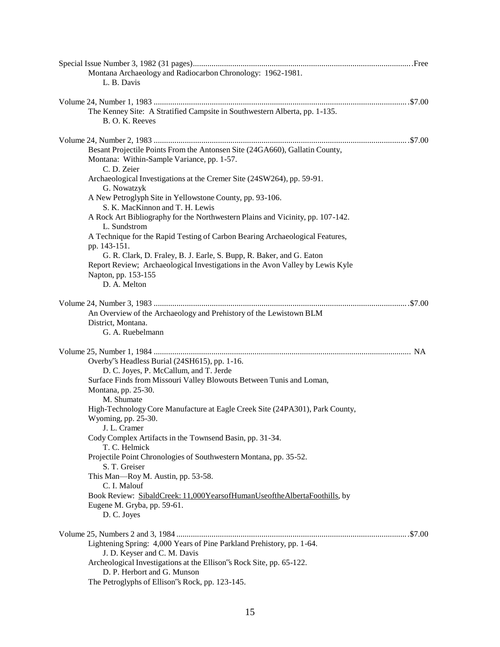| Montana Archaeology and Radiocarbon Chronology: 1962-1981.                                     |  |
|------------------------------------------------------------------------------------------------|--|
| L. B. Davis                                                                                    |  |
|                                                                                                |  |
|                                                                                                |  |
| The Kenney Site: A Stratified Campsite in Southwestern Alberta, pp. 1-135.<br>B. O. K. Reeves  |  |
|                                                                                                |  |
| Besant Projectile Points From the Antonsen Site (24GA660), Gallatin County,                    |  |
| Montana: Within-Sample Variance, pp. 1-57.<br>C. D. Zeier                                      |  |
| Archaeological Investigations at the Cremer Site (24SW264), pp. 59-91.<br>G. Nowatzyk          |  |
| A New Petroglyph Site in Yellowstone County, pp. 93-106.<br>S. K. MacKinnon and T. H. Lewis    |  |
| A Rock Art Bibliography for the Northwestern Plains and Vicinity, pp. 107-142.<br>L. Sundstrom |  |
| A Technique for the Rapid Testing of Carbon Bearing Archaeological Features,<br>pp. 143-151.   |  |
| G. R. Clark, D. Fraley, B. J. Earle, S. Bupp, R. Baker, and G. Eaton                           |  |
| Report Review; Archaeological Investigations in the Avon Valley by Lewis Kyle                  |  |
| Napton, pp. 153-155<br>D. A. Melton                                                            |  |
|                                                                                                |  |
|                                                                                                |  |
| An Overview of the Archaeology and Prehistory of the Lewistown BLM                             |  |
| District, Montana.                                                                             |  |
| G. A. Ruebelmann                                                                               |  |
|                                                                                                |  |
| Overby's Headless Burial (24SH615), pp. 1-16.                                                  |  |
| D. C. Joyes, P. McCallum, and T. Jerde                                                         |  |
| Surface Finds from Missouri Valley Blowouts Between Tunis and Loman,                           |  |
| Montana, pp. 25-30.                                                                            |  |
| M. Shumate                                                                                     |  |
| High-Technology Core Manufacture at Eagle Creek Site (24PA301), Park County,                   |  |
| Wyoming, pp. 25-30.                                                                            |  |
| J. L. Cramer<br>Cody Complex Artifacts in the Townsend Basin, pp. 31-34.                       |  |
| T. C. Helmick                                                                                  |  |
| Projectile Point Chronologies of Southwestern Montana, pp. 35-52.<br>S. T. Greiser             |  |
| This Man-Roy M. Austin, pp. 53-58.                                                             |  |
| C. I. Malouf                                                                                   |  |
| Book Review: SibaldCreek: 11,000YearsofHumanUseoftheAlbertaFoothills, by                       |  |
| Eugene M. Gryba, pp. 59-61.                                                                    |  |
| D. C. Joyes                                                                                    |  |
|                                                                                                |  |
| Lightening Spring: 4,000 Years of Pine Parkland Prehistory, pp. 1-64.                          |  |
| J. D. Keyser and C. M. Davis                                                                   |  |
| Archeological Investigations at the Ellison's Rock Site, pp. 65-122.                           |  |
| D. P. Herbort and G. Munson                                                                    |  |
| The Petroglyphs of Ellison's Rock, pp. 123-145.                                                |  |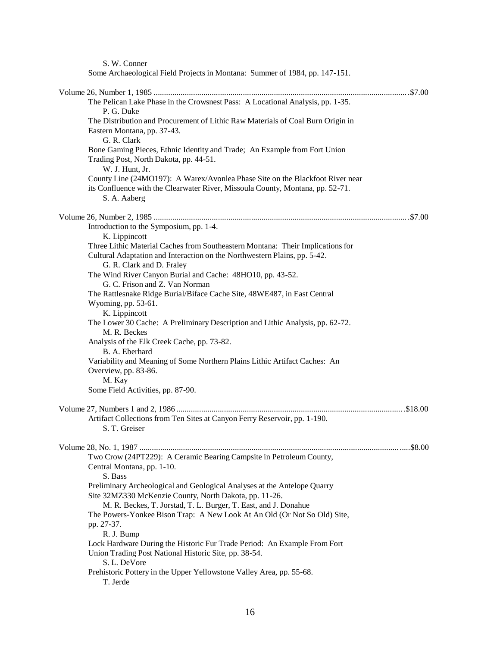S. W. Conner

| Some Archaeological Field Projects in Montana: Summer of 1984, pp. 147-151. |
|-----------------------------------------------------------------------------|
|-----------------------------------------------------------------------------|

| The Pelican Lake Phase in the Crowsnest Pass: A Locational Analysis, pp. 1-35.<br>P. G. Duke                                                                                             |
|------------------------------------------------------------------------------------------------------------------------------------------------------------------------------------------|
| The Distribution and Procurement of Lithic Raw Materials of Coal Burn Origin in<br>Eastern Montana, pp. 37-43.<br>G. R. Clark                                                            |
| Bone Gaming Pieces, Ethnic Identity and Trade; An Example from Fort Union<br>Trading Post, North Dakota, pp. 44-51.                                                                      |
| W. J. Hunt, Jr.                                                                                                                                                                          |
| County Line (24MO197): A Warex/Avonlea Phase Site on the Blackfoot River near<br>its Confluence with the Clearwater River, Missoula County, Montana, pp. 52-71.<br>S. A. Aaberg          |
|                                                                                                                                                                                          |
| Introduction to the Symposium, pp. 1-4.<br>K. Lippincott                                                                                                                                 |
| Three Lithic Material Caches from Southeastern Montana: Their Implications for<br>Cultural Adaptation and Interaction on the Northwestern Plains, pp. 5-42.<br>G. R. Clark and D. Fraley |
| The Wind River Canyon Burial and Cache: 48HO10, pp. 43-52.<br>G. C. Frison and Z. Van Norman                                                                                             |
| The Rattlesnake Ridge Burial/Biface Cache Site, 48WE487, in East Central                                                                                                                 |
| Wyoming, pp. 53-61.                                                                                                                                                                      |
| K. Lippincott                                                                                                                                                                            |
| The Lower 30 Cache: A Preliminary Description and Lithic Analysis, pp. 62-72.<br>M. R. Beckes                                                                                            |
| Analysis of the Elk Creek Cache, pp. 73-82.<br>B. A. Eberhard                                                                                                                            |
| Variability and Meaning of Some Northern Plains Lithic Artifact Caches: An<br>Overview, pp. 83-86.                                                                                       |
| M. Kay<br>Some Field Activities, pp. 87-90.                                                                                                                                              |
|                                                                                                                                                                                          |
| Artifact Collections from Ten Sites at Canyon Ferry Reservoir, pp. 1-190.<br>S. T. Greiser                                                                                               |
|                                                                                                                                                                                          |
| Two Crow (24PT229): A Ceramic Bearing Campsite in Petroleum County,<br>Central Montana, pp. 1-10.                                                                                        |
| S. Bass                                                                                                                                                                                  |
| Preliminary Archeological and Geological Analyses at the Antelope Quarry<br>Site 32MZ330 McKenzie County, North Dakota, pp. 11-26.                                                       |
| M. R. Beckes, T. Jorstad, T. L. Burger, T. East, and J. Donahue                                                                                                                          |
| The Powers-Yonkee Bison Trap: A New Look At An Old (Or Not So Old) Site,                                                                                                                 |
| pp. 27-37.<br>R. J. Bump                                                                                                                                                                 |
| Lock Hardware During the Historic Fur Trade Period: An Example From Fort                                                                                                                 |
| Union Trading Post National Historic Site, pp. 38-54.<br>S. L. DeVore                                                                                                                    |
| Prehistoric Pottery in the Upper Yellowstone Valley Area, pp. 55-68.                                                                                                                     |
| T. Jerde                                                                                                                                                                                 |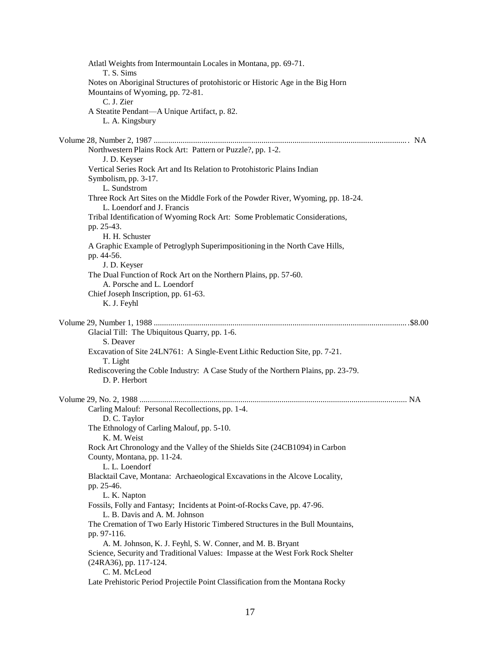| Atlatl Weights from Intermountain Locales in Montana, pp. 69-71.<br>T. S. Sims                                                                                          |  |
|-------------------------------------------------------------------------------------------------------------------------------------------------------------------------|--|
| Notes on Aboriginal Structures of protohistoric or Historic Age in the Big Horn<br>Mountains of Wyoming, pp. 72-81.<br>C. J. Zier                                       |  |
| A Steatite Pendant-A Unique Artifact, p. 82.<br>L. A. Kingsbury                                                                                                         |  |
|                                                                                                                                                                         |  |
| Northwestern Plains Rock Art: Pattern or Puzzle?, pp. 1-2.<br>J. D. Keyser                                                                                              |  |
| Vertical Series Rock Art and Its Relation to Protohistoric Plains Indian<br>Symbolism, pp. 3-17.<br>L. Sundstrom                                                        |  |
| Three Rock Art Sites on the Middle Fork of the Powder River, Wyoming, pp. 18-24.<br>L. Loendorf and J. Francis                                                          |  |
| Tribal Identification of Wyoming Rock Art: Some Problematic Considerations,<br>pp. 25-43.<br>H. H. Schuster                                                             |  |
| A Graphic Example of Petroglyph Superimpositioning in the North Cave Hills,<br>pp. 44-56.                                                                               |  |
| J. D. Keyser<br>The Dual Function of Rock Art on the Northern Plains, pp. 57-60.<br>A. Porsche and L. Loendorf                                                          |  |
| Chief Joseph Inscription, pp. 61-63.<br>K. J. Feyhl                                                                                                                     |  |
|                                                                                                                                                                         |  |
| Glacial Till: The Ubiquitous Quarry, pp. 1-6.<br>S. Deaver                                                                                                              |  |
| Excavation of Site 24LN761: A Single-Event Lithic Reduction Site, pp. 7-21.<br>T. Light                                                                                 |  |
| Rediscovering the Coble Industry: A Case Study of the Northern Plains, pp. 23-79.<br>D. P. Herbort                                                                      |  |
| Carling Malouf: Personal Recollections, pp. 1-4.<br>D. C. Taylor                                                                                                        |  |
| The Ethnology of Carling Malouf, pp. 5-10.<br>K. M. Weist                                                                                                               |  |
| Rock Art Chronology and the Valley of the Shields Site (24CB1094) in Carbon<br>County, Montana, pp. 11-24.<br>L. L. Loendorf                                            |  |
| Blacktail Cave, Montana: Archaeological Excavations in the Alcove Locality,<br>pp. 25-46.                                                                               |  |
| L. K. Napton                                                                                                                                                            |  |
| Fossils, Folly and Fantasy; Incidents at Point-of-Rocks Cave, pp. 47-96.<br>L. B. Davis and A. M. Johnson                                                               |  |
| The Cremation of Two Early Historic Timbered Structures in the Bull Mountains,<br>pp. 97-116.                                                                           |  |
| A. M. Johnson, K. J. Feyhl, S. W. Conner, and M. B. Bryant<br>Science, Security and Traditional Values: Impasse at the West Fork Rock Shelter<br>(24RA36), pp. 117-124. |  |
| C. M. McLeod<br>Late Prehistoric Period Projectile Point Classification from the Montana Rocky                                                                          |  |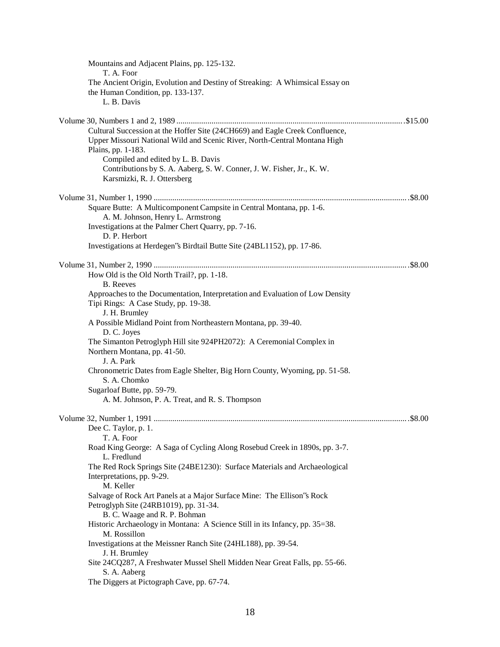| Mountains and Adjacent Plains, pp. 125-132.<br>T. A. Foor                                                                                                                       |
|---------------------------------------------------------------------------------------------------------------------------------------------------------------------------------|
| The Ancient Origin, Evolution and Destiny of Streaking: A Whimsical Essay on<br>the Human Condition, pp. 133-137.<br>L. B. Davis                                                |
|                                                                                                                                                                                 |
| Cultural Succession at the Hoffer Site (24CH669) and Eagle Creek Confluence,<br>Upper Missouri National Wild and Scenic River, North-Central Montana High<br>Plains, pp. 1-183. |
| Compiled and edited by L. B. Davis<br>Contributions by S. A. Aaberg, S. W. Conner, J. W. Fisher, Jr., K. W.<br>Karsmizki, R. J. Ottersberg                                      |
|                                                                                                                                                                                 |
| Square Butte: A Multicomponent Campsite in Central Montana, pp. 1-6.<br>A. M. Johnson, Henry L. Armstrong<br>Investigations at the Palmer Chert Quarry, pp. 7-16.               |
| D. P. Herbort<br>Investigations at Herdegen's Birdtail Butte Site (24BL1152), pp. 17-86.                                                                                        |
|                                                                                                                                                                                 |
| How Old is the Old North Trail?, pp. 1-18.<br><b>B.</b> Reeves                                                                                                                  |
| Approaches to the Documentation, Interpretation and Evaluation of Low Density<br>Tipi Rings: A Case Study, pp. 19-38.<br>J. H. Brumley                                          |
| A Possible Midland Point from Northeastern Montana, pp. 39-40.<br>D. C. Joyes                                                                                                   |
| The Simanton Petroglyph Hill site 924PH2072): A Ceremonial Complex in<br>Northern Montana, pp. 41-50.<br>J. A. Park                                                             |
| Chronometric Dates from Eagle Shelter, Big Horn County, Wyoming, pp. 51-58.<br>S. A. Chomko                                                                                     |
| Sugarloaf Butte, pp. 59-79.<br>A. M. Johnson, P. A. Treat, and R. S. Thompson                                                                                                   |
|                                                                                                                                                                                 |
|                                                                                                                                                                                 |
| Dee C. Taylor, p. 1.<br>T. A. Foor                                                                                                                                              |
| Road King George: A Saga of Cycling Along Rosebud Creek in 1890s, pp. 3-7.<br>L. Fredlund                                                                                       |
| The Red Rock Springs Site (24BE1230): Surface Materials and Archaeological                                                                                                      |
| Interpretations, pp. 9-29.                                                                                                                                                      |
| M. Keller<br>Salvage of Rock Art Panels at a Major Surface Mine: The Ellison's Rock                                                                                             |
| Petroglyph Site (24RB1019), pp. 31-34.<br>B. C. Waage and R. P. Bohman                                                                                                          |
| Historic Archaeology in Montana: A Science Still in its Infancy, pp. 35=38.<br>M. Rossillon                                                                                     |
| Investigations at the Meissner Ranch Site (24HL188), pp. 39-54.<br>J. H. Brumley                                                                                                |
| Site 24CQ287, A Freshwater Mussel Shell Midden Near Great Falls, pp. 55-66.<br>S. A. Aaberg                                                                                     |
| The Diggers at Pictograph Cave, pp. 67-74.                                                                                                                                      |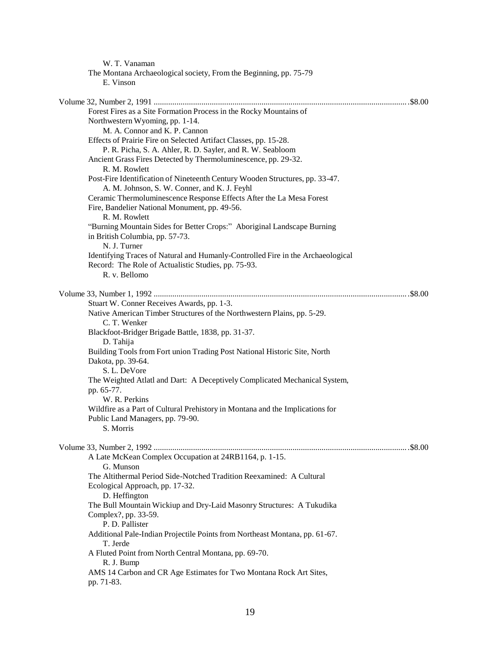| W. T. Vanaman                                                                              |  |
|--------------------------------------------------------------------------------------------|--|
| The Montana Archaeological society, From the Beginning, pp. 75-79                          |  |
| E. Vinson                                                                                  |  |
|                                                                                            |  |
|                                                                                            |  |
| Forest Fires as a Site Formation Process in the Rocky Mountains of                         |  |
| Northwestern Wyoming, pp. 1-14.                                                            |  |
| M. A. Connor and K. P. Cannon                                                              |  |
| Effects of Prairie Fire on Selected Artifact Classes, pp. 15-28.                           |  |
| P. R. Picha, S. A. Ahler, R. D. Sayler, and R. W. Seabloom                                 |  |
| Ancient Grass Fires Detected by Thermoluminescence, pp. 29-32.                             |  |
| R. M. Rowlett                                                                              |  |
| Post-Fire Identification of Nineteenth Century Wooden Structures, pp. 33-47.               |  |
| A. M. Johnson, S. W. Conner, and K. J. Feyhl                                               |  |
| Ceramic Thermoluminescence Response Effects After the La Mesa Forest                       |  |
| Fire, Bandelier National Monument, pp. 49-56.                                              |  |
| R. M. Rowlett                                                                              |  |
| "Burning Mountain Sides for Better Crops:" Aboriginal Landscape Burning                    |  |
| in British Columbia, pp. 57-73.                                                            |  |
| N. J. Turner                                                                               |  |
| Identifying Traces of Natural and Humanly-Controlled Fire in the Archaeological            |  |
| Record: The Role of Actualistic Studies, pp. 75-93.                                        |  |
| R. v. Bellomo                                                                              |  |
|                                                                                            |  |
|                                                                                            |  |
| Stuart W. Conner Receives Awards, pp. 1-3.                                                 |  |
| Native American Timber Structures of the Northwestern Plains, pp. 5-29.                    |  |
| C. T. Wenker                                                                               |  |
| Blackfoot-Bridger Brigade Battle, 1838, pp. 31-37.                                         |  |
| D. Tahija                                                                                  |  |
| Building Tools from Fort union Trading Post National Historic Site, North                  |  |
| Dakota, pp. 39-64.                                                                         |  |
| S. L. DeVore<br>The Weighted Atlatl and Dart: A Deceptively Complicated Mechanical System, |  |
| pp. 65-77.                                                                                 |  |
| W. R. Perkins                                                                              |  |
| Wildfire as a Part of Cultural Prehistory in Montana and the Implications for              |  |
| Public Land Managers, pp. 79-90.                                                           |  |
| S. Morris                                                                                  |  |
|                                                                                            |  |
|                                                                                            |  |
| A Late McKean Complex Occupation at 24RB1164, p. 1-15.                                     |  |
| G. Munson                                                                                  |  |
| The Altithermal Period Side-Notched Tradition Reexamined: A Cultural                       |  |
| Ecological Approach, pp. 17-32.                                                            |  |
| D. Heffington                                                                              |  |
| The Bull Mountain Wickiup and Dry-Laid Masonry Structures: A Tukudika                      |  |
| Complex?, pp. 33-59.                                                                       |  |
| P. D. Pallister                                                                            |  |
| Additional Pale-Indian Projectile Points from Northeast Montana, pp. 61-67.                |  |
| T. Jerde                                                                                   |  |
| A Fluted Point from North Central Montana, pp. 69-70.                                      |  |
| R. J. Bump                                                                                 |  |
| AMS 14 Carbon and CR Age Estimates for Two Montana Rock Art Sites,                         |  |
| pp. 71-83.                                                                                 |  |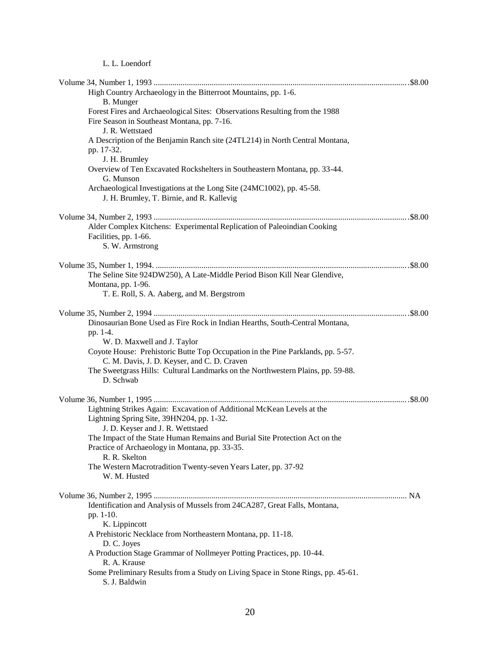## L. L. Loendorf

| High Country Archaeology in the Bitterroot Mountains, pp. 1-6.<br>B. Munger                                                                   |  |
|-----------------------------------------------------------------------------------------------------------------------------------------------|--|
| Forest Fires and Archaeological Sites: Observations Resulting from the 1988<br>Fire Season in Southeast Montana, pp. 7-16.<br>J. R. Wettstaed |  |
| A Description of the Benjamin Ranch site (24TL214) in North Central Montana,<br>pp. 17-32.<br>J. H. Brumley                                   |  |
| Overview of Ten Excavated Rockshelters in Southeastern Montana, pp. 33-44.<br>G. Munson                                                       |  |
| Archaeological Investigations at the Long Site (24MC1002), pp. 45-58.<br>J. H. Brumley, T. Birnie, and R. Kallevig                            |  |
|                                                                                                                                               |  |
| Alder Complex Kitchens: Experimental Replication of Paleoindian Cooking<br>Facilities, pp. 1-66.<br>S. W. Armstrong                           |  |
|                                                                                                                                               |  |
| The Seline Site 924DW250), A Late-Middle Period Bison Kill Near Glendive,<br>Montana, pp. 1-96.                                               |  |
| T. E. Roll, S. A. Aaberg, and M. Bergstrom                                                                                                    |  |
| Dinosaurian Bone Used as Fire Rock in Indian Hearths, South-Central Montana,                                                                  |  |
| pp. 1-4.<br>W. D. Maxwell and J. Taylor                                                                                                       |  |
| Coyote House: Prehistoric Butte Top Occupation in the Pine Parklands, pp. 5-57.                                                               |  |
| C. M. Davis, J. D. Keyser, and C. D. Craven<br>The Sweetgrass Hills: Cultural Landmarks on the Northwestern Plains, pp. 59-88.<br>D. Schwab   |  |
|                                                                                                                                               |  |
| Lightning Strikes Again: Excavation of Additional McKean Levels at the<br>Lightning Spring Site, 39HN204, pp. 1-32.                           |  |
| J. D. Keyser and J. R. Wettstaed<br>The Impact of the State Human Remains and Burial Site Protection Act on the                               |  |
| Practice of Archaeology in Montana, pp. 33-35.<br>R. R. Skelton                                                                               |  |
| The Western Macrotradition Twenty-seven Years Later, pp. 37-92<br>W. M. Husted                                                                |  |
|                                                                                                                                               |  |
| Identification and Analysis of Mussels from 24CA287, Great Falls, Montana,<br>pp. 1-10.                                                       |  |
| K. Lippincott<br>A Prehistoric Necklace from Northeastern Montana, pp. 11-18.<br>D. C. Joyes                                                  |  |
| A Production Stage Grammar of Nollmeyer Potting Practices, pp. 10-44.<br>R. A. Krause                                                         |  |
| Some Preliminary Results from a Study on Living Space in Stone Rings, pp. 45-61.<br>S. J. Baldwin                                             |  |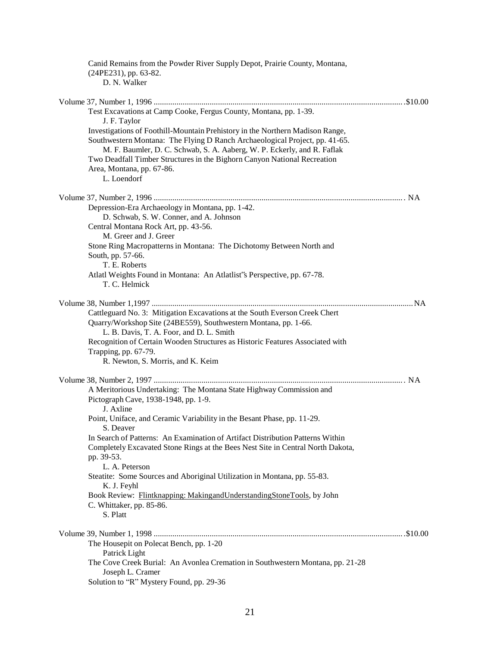| Canid Remains from the Powder River Supply Depot, Prairie County, Montana,<br>(24PE231), pp. 63-82.   |  |
|-------------------------------------------------------------------------------------------------------|--|
| D. N. Walker                                                                                          |  |
|                                                                                                       |  |
| Test Excavations at Camp Cooke, Fergus County, Montana, pp. 1-39.                                     |  |
| J. F. Taylor                                                                                          |  |
| Investigations of Foothill-Mountain Prehistory in the Northern Madison Range,                         |  |
| Southwestern Montana: The Flying D Ranch Archaeological Project, pp. 41-65.                           |  |
| M. F. Baumler, D. C. Schwab, S. A. Aaberg, W. P. Eckerly, and R. Faflak                               |  |
| Two Deadfall Timber Structures in the Bighorn Canyon National Recreation<br>Area, Montana, pp. 67-86. |  |
| L. Loendorf                                                                                           |  |
|                                                                                                       |  |
|                                                                                                       |  |
| Depression-Era Archaeology in Montana, pp. 1-42.                                                      |  |
| D. Schwab, S. W. Conner, and A. Johnson                                                               |  |
| Central Montana Rock Art, pp. 43-56.<br>M. Greer and J. Greer                                         |  |
| Stone Ring Macropatterns in Montana: The Dichotomy Between North and                                  |  |
| South, pp. 57-66.                                                                                     |  |
| T. E. Roberts                                                                                         |  |
| Atlatl Weights Found in Montana: An Atlatlist's Perspective, pp. 67-78.                               |  |
| T. C. Helmick                                                                                         |  |
|                                                                                                       |  |
| Cattleguard No. 3: Mitigation Excavations at the South Everson Creek Chert                            |  |
| Quarry/Workshop Site (24BE559), Southwestern Montana, pp. 1-66.                                       |  |
| L. B. Davis, T. A. Foor, and D. L. Smith                                                              |  |
| Recognition of Certain Wooden Structures as Historic Features Associated with                         |  |
| Trapping, pp. 67-79.                                                                                  |  |
| R. Newton, S. Morris, and K. Keim                                                                     |  |
|                                                                                                       |  |
| A Meritorious Undertaking: The Montana State Highway Commission and                                   |  |
| Pictograph Cave, 1938-1948, pp. 1-9.                                                                  |  |
| J. Axline                                                                                             |  |
| Point, Uniface, and Ceramic Variability in the Besant Phase, pp. 11-29.<br>S. Deaver                  |  |
| In Search of Patterns: An Examination of Artifact Distribution Patterns Within                        |  |
| Completely Excavated Stone Rings at the Bees Nest Site in Central North Dakota,                       |  |
| pp. 39-53.                                                                                            |  |
| L. A. Peterson                                                                                        |  |
| Steatite: Some Sources and Aboriginal Utilization in Montana, pp. 55-83.                              |  |
| K. J. Feyhl                                                                                           |  |
| Book Review: Flintknapping: MakingandUnderstandingStoneTools, by John<br>C. Whittaker, pp. 85-86.     |  |
| S. Platt                                                                                              |  |
|                                                                                                       |  |
|                                                                                                       |  |
| The Housepit on Polecat Bench, pp. 1-20<br>Patrick Light                                              |  |
| The Cove Creek Burial: An Avonlea Cremation in Southwestern Montana, pp. 21-28                        |  |
| Joseph L. Cramer                                                                                      |  |
| Solution to "R" Mystery Found, pp. 29-36                                                              |  |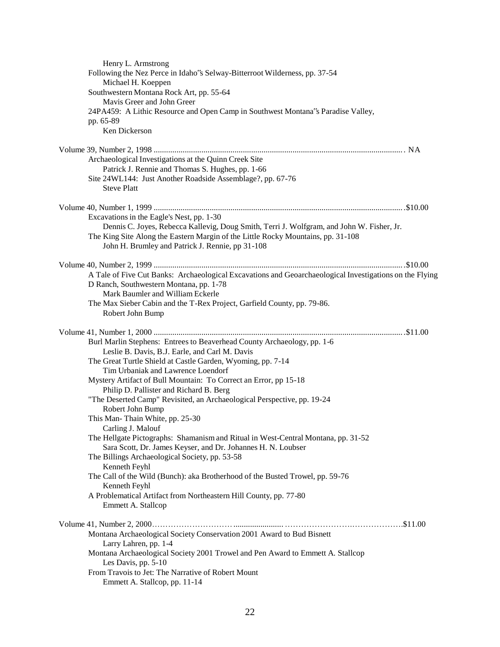| Henry L. Armstrong                                                                                             |  |
|----------------------------------------------------------------------------------------------------------------|--|
| Following the Nez Perce in Idaho's Selway-Bitterroot Wilderness, pp. 37-54                                     |  |
| Michael H. Koeppen                                                                                             |  |
| Southwestern Montana Rock Art, pp. 55-64                                                                       |  |
| Mavis Greer and John Greer                                                                                     |  |
| 24PA459: A Lithic Resource and Open Camp in Southwest Montana"s Paradise Valley,                               |  |
| pp. 65-89                                                                                                      |  |
| Ken Dickerson                                                                                                  |  |
|                                                                                                                |  |
| Archaeological Investigations at the Quinn Creek Site                                                          |  |
| Patrick J. Rennie and Thomas S. Hughes, pp. 1-66                                                               |  |
| Site 24WL144: Just Another Roadside Assemblage?, pp. 67-76                                                     |  |
| <b>Steve Platt</b>                                                                                             |  |
|                                                                                                                |  |
|                                                                                                                |  |
| Excavations in the Eagle's Nest, pp. 1-30                                                                      |  |
| Dennis C. Joyes, Rebecca Kallevig, Doug Smith, Terri J. Wolfgram, and John W. Fisher, Jr.                      |  |
| The King Site Along the Eastern Margin of the Little Rocky Mountains, pp. 31-108                               |  |
| John H. Brumley and Patrick J. Rennie, pp 31-108                                                               |  |
|                                                                                                                |  |
| A Tale of Five Cut Banks: Archaeological Excavations and Geoarchaeological Investigations on the Flying        |  |
| D Ranch, Southwestern Montana, pp. 1-78                                                                        |  |
| Mark Baumler and William Eckerle                                                                               |  |
| The Max Sieber Cabin and the T-Rex Project, Garfield County, pp. 79-86.                                        |  |
| Robert John Bump                                                                                               |  |
|                                                                                                                |  |
|                                                                                                                |  |
| Burl Marlin Stephens: Entrees to Beaverhead County Archaeology, pp. 1-6                                        |  |
| Leslie B. Davis, B.J. Earle, and Carl M. Davis                                                                 |  |
| The Great Turtle Shield at Castle Garden, Wyoming, pp. 7-14                                                    |  |
| Tim Urbaniak and Lawrence Loendorf                                                                             |  |
| Mystery Artifact of Bull Mountain: To Correct an Error, pp 15-18                                               |  |
| Philip D. Pallister and Richard B. Berg                                                                        |  |
| "The Deserted Camp" Revisited, an Archaeological Perspective, pp. 19-24                                        |  |
| Robert John Bump                                                                                               |  |
| This Man-Thain White, pp. 25-30                                                                                |  |
| Carling J. Malouf                                                                                              |  |
| The Hellgate Pictographs: Shamanism and Ritual in West-Central Montana, pp. 31-52                              |  |
| Sara Scott, Dr. James Keyser, and Dr. Johannes H. N. Loubser<br>The Billings Archaeological Society, pp. 53-58 |  |
| Kenneth Feyhl                                                                                                  |  |
| The Call of the Wild (Bunch): aka Brotherhood of the Busted Trowel, pp. 59-76                                  |  |
| Kenneth Feyhl                                                                                                  |  |
| A Problematical Artifact from Northeastern Hill County, pp. 77-80                                              |  |
| Emmett A. Stallcop                                                                                             |  |
|                                                                                                                |  |
|                                                                                                                |  |
| Montana Archaeological Society Conservation 2001 Award to Bud Bisnett                                          |  |
| Larry Lahren, pp. 1-4                                                                                          |  |
| Montana Archaeological Society 2001 Trowel and Pen Award to Emmett A. Stallcop                                 |  |
| Les Davis, pp. 5-10                                                                                            |  |
| From Travois to Jet: The Narrative of Robert Mount                                                             |  |
| Emmett A. Stallcop, pp. 11-14                                                                                  |  |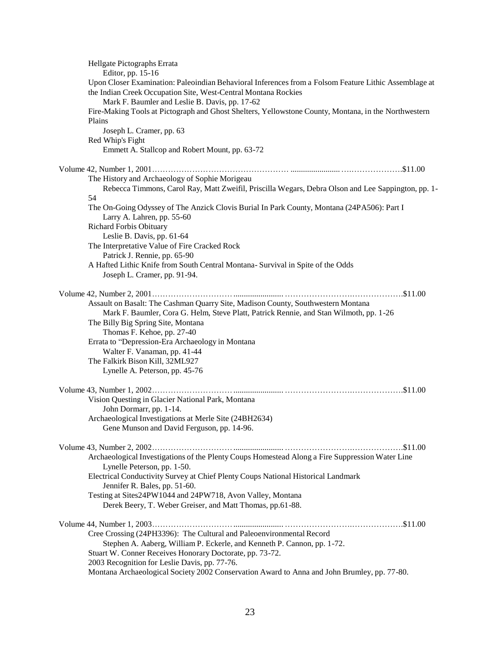|        | Hellgate Pictographs Errata                                                                                                                                             |
|--------|-------------------------------------------------------------------------------------------------------------------------------------------------------------------------|
|        | Editor, pp. 15-16                                                                                                                                                       |
|        | Upon Closer Examination: Paleoindian Behavioral Inferences from a Folsom Feature Lithic Assemblage at<br>the Indian Creek Occupation Site, West-Central Montana Rockies |
|        | Mark F. Baumler and Leslie B. Davis, pp. 17-62                                                                                                                          |
|        | Fire-Making Tools at Pictograph and Ghost Shelters, Yellowstone County, Montana, in the Northwestern                                                                    |
| Plains |                                                                                                                                                                         |
|        | Joseph L. Cramer, pp. 63                                                                                                                                                |
|        | Red Whip's Fight                                                                                                                                                        |
|        | Emmett A. Stallcop and Robert Mount, pp. 63-72                                                                                                                          |
|        |                                                                                                                                                                         |
|        | The History and Archaeology of Sophie Morigeau                                                                                                                          |
|        | Rebecca Timmons, Carol Ray, Matt Zweifil, Priscilla Wegars, Debra Olson and Lee Sappington, pp. 1-                                                                      |
| 54     |                                                                                                                                                                         |
|        | The On-Going Odyssey of The Anzick Clovis Burial In Park County, Montana (24PA506): Part I                                                                              |
|        | Larry A. Lahren, pp. 55-60                                                                                                                                              |
|        | <b>Richard Forbis Obituary</b>                                                                                                                                          |
|        | Leslie B. Davis, pp. 61-64                                                                                                                                              |
|        | The Interpretative Value of Fire Cracked Rock                                                                                                                           |
|        | Patrick J. Rennie, pp. 65-90                                                                                                                                            |
|        | A Hafted Lithic Knife from South Central Montana- Survival in Spite of the Odds                                                                                         |
|        | Joseph L. Cramer, pp. 91-94.                                                                                                                                            |
|        |                                                                                                                                                                         |
|        | Assault on Basalt: The Cashman Quarry Site, Madison County, Southwestern Montana                                                                                        |
|        | Mark F. Baumler, Cora G. Helm, Steve Platt, Patrick Rennie, and Stan Wilmoth, pp. 1-26                                                                                  |
|        | The Billy Big Spring Site, Montana                                                                                                                                      |
|        | Thomas F. Kehoe, pp. 27-40                                                                                                                                              |
|        | Errata to "Depression-Era Archaeology in Montana                                                                                                                        |
|        | Walter F. Vanaman, pp. 41-44                                                                                                                                            |
|        | The Falkirk Bison Kill, 32ML927                                                                                                                                         |
|        | Lynelle A. Peterson, pp. 45-76                                                                                                                                          |
|        |                                                                                                                                                                         |
|        | Vision Questing in Glacier National Park, Montana                                                                                                                       |
|        | John Dormarr, pp. 1-14.                                                                                                                                                 |
|        | Archaeological Investigations at Merle Site (24BH2634)                                                                                                                  |
|        | Gene Munson and David Ferguson, pp. 14-96.                                                                                                                              |
|        |                                                                                                                                                                         |
|        | Archaeological Investigations of the Plenty Coups Homestead Along a Fire Suppression Water Line                                                                         |
|        | Lynelle Peterson, pp. 1-50.                                                                                                                                             |
|        | Electrical Conductivity Survey at Chief Plenty Coups National Historical Landmark                                                                                       |
|        | Jennifer R. Bales, pp. 51-60.                                                                                                                                           |
|        | Testing at Sites24PW1044 and 24PW718, Avon Valley, Montana                                                                                                              |
|        | Derek Beery, T. Weber Greiser, and Matt Thomas, pp.61-88.                                                                                                               |
|        |                                                                                                                                                                         |
|        | Cree Crossing (24PH3396): The Cultural and Paleoenvironmental Record                                                                                                    |
|        | Stephen A. Aaberg, William P. Eckerle, and Kenneth P. Cannon, pp. 1-72.                                                                                                 |
|        | Stuart W. Conner Receives Honorary Doctorate, pp. 73-72.                                                                                                                |
|        | 2003 Recognition for Leslie Davis, pp. 77-76.                                                                                                                           |
|        | Montana Archaeological Society 2002 Conservation Award to Anna and John Brumley, pp. 77-80.                                                                             |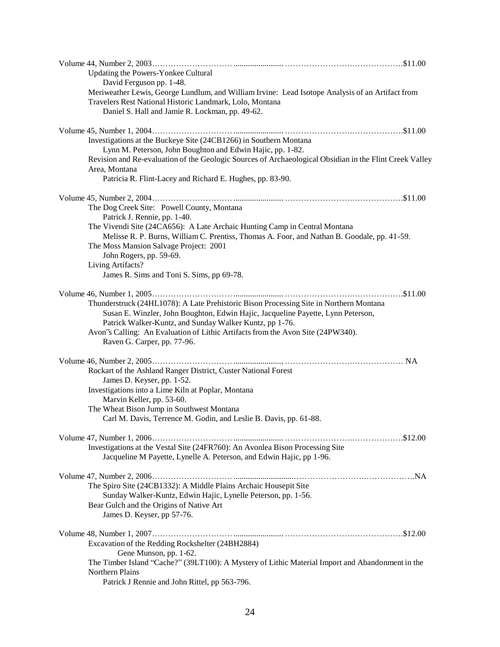| Updating the Powers-Yonkee Cultural<br>David Ferguson pp. 1-48.                                                                                                       |
|-----------------------------------------------------------------------------------------------------------------------------------------------------------------------|
| Meriweather Lewis, George Lundlum, and William Irvine: Lead Isotope Analysis of an Artifact from<br>Travelers Rest National Historic Landmark, Lolo, Montana          |
| Daniel S. Hall and Jamie R. Lockman, pp. 49-62.                                                                                                                       |
| Investigations at the Buckeye Site (24CB1266) in Southern Montana                                                                                                     |
| Lynn M. Peterson, John Boughton and Edwin Hajic, pp. 1-82.<br>Revision and Re-evaluation of the Geologic Sources of Archaeological Obsidian in the Flint Creek Valley |
| Area, Montana<br>Patricia R. Flint-Lacey and Richard E. Hughes, pp. 83-90.                                                                                            |
|                                                                                                                                                                       |
| The Dog Creek Site: Powell County, Montana<br>Patrick J. Rennie, pp. 1-40.                                                                                            |
| The Vivendi Site (24CA656): A Late Archaic Hunting Camp in Central Montana                                                                                            |
| Melisse R. P. Burns, William C. Prentiss, Thomas A. Foor, and Nathan B. Goodale, pp. 41-59.<br>The Moss Mansion Salvage Project: 2001                                 |
| John Rogers, pp. 59-69.<br>Living Artifacts?                                                                                                                          |
| James R. Sims and Toni S. Sims, pp 69-78.                                                                                                                             |
|                                                                                                                                                                       |
| Thunderstruck (24HL1078): A Late Prehistoric Bison Processing Site in Northern Montana                                                                                |
| Susan E. Winzler, John Boughton, Edwin Hajic, Jacqueline Payette, Lynn Peterson,<br>Patrick Walker-Kuntz, and Sunday Walker Kuntz, pp 1-76.                           |
| Avon's Calling: An Evaluation of Lithic Artifacts from the Avon Site (24PW340).                                                                                       |
| Raven G. Carper, pp. 77-96.                                                                                                                                           |
|                                                                                                                                                                       |
| Rockart of the Ashland Ranger District, Custer National Forest                                                                                                        |
| James D. Keyser, pp. 1-52.<br>Investigations into a Lime Kiln at Poplar, Montana                                                                                      |
| Marvin Keller, pp. 53-60.                                                                                                                                             |
| The Wheat Bison Jump in Southwest Montana                                                                                                                             |
| Carl M. Davis, Terrence M. Godin, and Leslie B. Davis, pp. 61-88.                                                                                                     |
|                                                                                                                                                                       |
| Investigations at the Vestal Site (24FR760): An Avonlea Bison Processing Site<br>Jacqueline M Payette, Lynelle A. Peterson, and Edwin Hajic, pp 1-96.                 |
|                                                                                                                                                                       |
| The Spiro Site (24CB1332): A Middle Plains Archaic Housepit Site                                                                                                      |
| Sunday Walker-Kuntz, Edwin Hajic, Lynelle Peterson, pp. 1-56.                                                                                                         |
| Bear Gulch and the Origins of Native Art<br>James D. Keyser, pp 57-76.                                                                                                |
|                                                                                                                                                                       |
| Excavation of the Redding Rockshelter (24BH2884)                                                                                                                      |
| Gene Munson, pp. 1-62.<br>The Timber Island "Cache?" (39LT100): A Mystery of Lithic Material Import and Abandonment in the                                            |
| Northern Plains                                                                                                                                                       |
| Patrick J Rennie and John Rittel, pp 563-796.                                                                                                                         |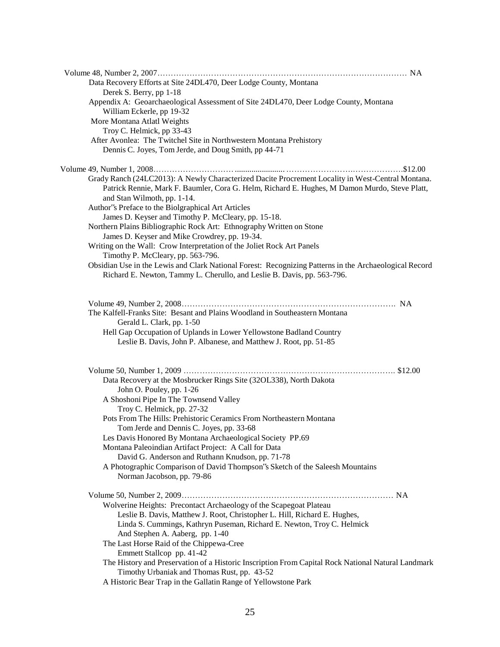| Data Recovery Efforts at Site 24DL470, Deer Lodge County, Montana                                                                                                                                                                 |  |
|-----------------------------------------------------------------------------------------------------------------------------------------------------------------------------------------------------------------------------------|--|
| Derek S. Berry, pp 1-18                                                                                                                                                                                                           |  |
| Appendix A: Geoarchaeological Assessment of Site 24DL470, Deer Lodge County, Montana<br>William Eckerle, pp 19-32                                                                                                                 |  |
| More Montana Atlatl Weights                                                                                                                                                                                                       |  |
| Troy C. Helmick, pp 33-43                                                                                                                                                                                                         |  |
| After Avonlea: The Twitchel Site in Northwestern Montana Prehistory                                                                                                                                                               |  |
| Dennis C. Joyes, Tom Jerde, and Doug Smith, pp 44-71                                                                                                                                                                              |  |
|                                                                                                                                                                                                                                   |  |
| Grady Ranch (24LC2013): A Newly Characterized Dacite Procrement Locality in West-Central Montana.<br>Patrick Rennie, Mark F. Baumler, Cora G. Helm, Richard E. Hughes, M Damon Murdo, Steve Platt,<br>and Stan Wilmoth, pp. 1-14. |  |
| Author's Preface to the Biolgraphical Art Articles                                                                                                                                                                                |  |
| James D. Keyser and Timothy P. McCleary, pp. 15-18.                                                                                                                                                                               |  |
| Northern Plains Bibliographic Rock Art: Ethnography Written on Stone                                                                                                                                                              |  |
| James D. Keyser and Mike Crowdrey, pp. 19-34.                                                                                                                                                                                     |  |
| Writing on the Wall: Crow Interpretation of the Joliet Rock Art Panels<br>Timothy P. McCleary, pp. 563-796.                                                                                                                       |  |
| Obsidian Use in the Lewis and Clark National Forest: Recognizing Patterns in the Archaeological Record<br>Richard E. Newton, Tammy L. Cherullo, and Leslie B. Davis, pp. 563-796.                                                 |  |
|                                                                                                                                                                                                                                   |  |
| The Kalfell-Franks Site: Besant and Plains Woodland in Southeastern Montana                                                                                                                                                       |  |
| Gerald L. Clark, pp. 1-50                                                                                                                                                                                                         |  |
| Hell Gap Occupation of Uplands in Lower Yellowstone Badland Country<br>Leslie B. Davis, John P. Albanese, and Matthew J. Root, pp. 51-85                                                                                          |  |
|                                                                                                                                                                                                                                   |  |
| Data Recovery at the Mosbrucker Rings Site (32OL338), North Dakota                                                                                                                                                                |  |
| John O. Pouley, pp. 1-26                                                                                                                                                                                                          |  |
| A Shoshoni Pipe In The Townsend Valley                                                                                                                                                                                            |  |
| Troy C. Helmick, pp. 27-32                                                                                                                                                                                                        |  |
| Pots From The Hills: Prehistoric Ceramics From Northeastern Montana                                                                                                                                                               |  |
| Tom Jerde and Dennis C. Joyes, pp. 33-68                                                                                                                                                                                          |  |
| Les Davis Honored By Montana Archaeological Society PP.69                                                                                                                                                                         |  |
| Montana Paleoindian Artifact Project: A Call for Data                                                                                                                                                                             |  |
| David G. Anderson and Ruthann Knudson, pp. 71-78                                                                                                                                                                                  |  |
| A Photographic Comparison of David Thompson's Sketch of the Saleesh Mountains                                                                                                                                                     |  |
| Norman Jacobson, pp. 79-86                                                                                                                                                                                                        |  |
|                                                                                                                                                                                                                                   |  |
| Wolverine Heights: Precontact Archaeology of the Scapegoat Plateau                                                                                                                                                                |  |
| Leslie B. Davis, Matthew J. Root, Christopher L. Hill, Richard E. Hughes,                                                                                                                                                         |  |
| Linda S. Cummings, Kathryn Puseman, Richard E. Newton, Troy C. Helmick                                                                                                                                                            |  |
| And Stephen A. Aaberg, pp. 1-40                                                                                                                                                                                                   |  |
| The Last Horse Raid of the Chippewa-Cree                                                                                                                                                                                          |  |
| Emmett Stallcop pp. 41-42                                                                                                                                                                                                         |  |
| The History and Preservation of a Historic Inscription From Capital Rock National Natural Landmark                                                                                                                                |  |
| Timothy Urbaniak and Thomas Rust, pp. 43-52<br>A Historic Bear Trap in the Gallatin Range of Yellowstone Park                                                                                                                     |  |
|                                                                                                                                                                                                                                   |  |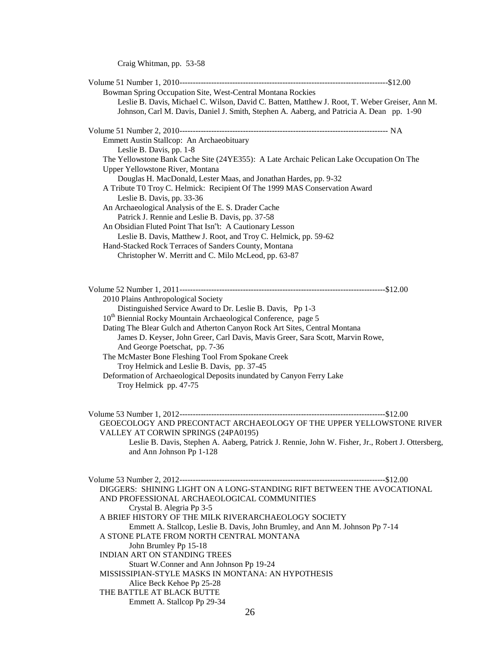Craig Whitman, pp. 53-58

| Bowman Spring Occupation Site, West-Central Montana Rockies                                       |  |
|---------------------------------------------------------------------------------------------------|--|
| Leslie B. Davis, Michael C. Wilson, David C. Batten, Matthew J. Root, T. Weber Greiser, Ann M.    |  |
| Johnson, Carl M. Davis, Daniel J. Smith, Stephen A. Aaberg, and Patricia A. Dean pp. 1-90         |  |
|                                                                                                   |  |
|                                                                                                   |  |
| Emmett Austin Stallcop: An Archaeobituary                                                         |  |
| Leslie B. Davis, pp. 1-8                                                                          |  |
| The Yellowstone Bank Cache Site (24YE355): A Late Archaic Pelican Lake Occupation On The          |  |
| Upper Yellowstone River, Montana                                                                  |  |
| Douglas H. MacDonald, Lester Maas, and Jonathan Hardes, pp. 9-32                                  |  |
| A Tribute T0 Troy C. Helmick: Recipient Of The 1999 MAS Conservation Award                        |  |
| Leslie B. Davis, pp. 33-36                                                                        |  |
| An Archaeological Analysis of the E. S. Drader Cache                                              |  |
| Patrick J. Rennie and Leslie B. Davis, pp. 37-58                                                  |  |
| An Obsidian Fluted Point That Isn't: A Cautionary Lesson                                          |  |
| Leslie B. Davis, Matthew J. Root, and Troy C. Helmick, pp. 59-62                                  |  |
| Hand-Stacked Rock Terraces of Sanders County, Montana                                             |  |
| Christopher W. Merritt and C. Milo McLeod, pp. 63-87                                              |  |
|                                                                                                   |  |
|                                                                                                   |  |
|                                                                                                   |  |
| Volume 52 Number 1, 2011-------------<br>2010 Plains Anthropological Society                      |  |
| Distinguished Service Award to Dr. Leslie B. Davis, Pp 1-3                                        |  |
|                                                                                                   |  |
| 10 <sup>th</sup> Biennial Rocky Mountain Archaeological Conference, page 5                        |  |
| Dating The Blear Gulch and Atherton Canyon Rock Art Sites, Central Montana                        |  |
| James D. Keyser, John Greer, Carl Davis, Mavis Greer, Sara Scott, Marvin Rowe,                    |  |
| And George Poetschat, pp. 7-36<br>The McMaster Bone Fleshing Tool From Spokane Creek              |  |
| Troy Helmick and Leslie B. Davis, pp. 37-45                                                       |  |
|                                                                                                   |  |
| Deformation of Archaeological Deposits inundated by Canyon Ferry Lake<br>Troy Helmick pp. 47-75   |  |
|                                                                                                   |  |
|                                                                                                   |  |
|                                                                                                   |  |
| GEOECOLOGY AND PRECONTACT ARCHAEOLOGY OF THE UPPER YELLOWSTONE RIVER                              |  |
| VALLEY AT CORWIN SPRINGS (24PA0195)                                                               |  |
| Leslie B. Davis, Stephen A. Aaberg, Patrick J. Rennie, John W. Fisher, Jr., Robert J. Ottersberg, |  |
| and Ann Johnson Pp 1-128                                                                          |  |
|                                                                                                   |  |
|                                                                                                   |  |
|                                                                                                   |  |
| DIGGERS: SHINING LIGHT ON A LONG-STANDING RIFT BETWEEN THE AVOCATIONAL                            |  |
| AND PROFESSIONAL ARCHAEOLOGICAL COMMUNITIES                                                       |  |
| Crystal B. Alegria Pp 3-5                                                                         |  |
| A BRIEF HISTORY OF THE MILK RIVERARCHAEOLOGY SOCIETY                                              |  |
| Emmett A. Stallcop, Leslie B. Davis, John Brumley, and Ann M. Johnson Pp 7-14                     |  |
| A STONE PLATE FROM NORTH CENTRAL MONTANA                                                          |  |
| John Brumley Pp 15-18                                                                             |  |
| <b>INDIAN ART ON STANDING TREES</b>                                                               |  |
| Stuart W.Conner and Ann Johnson Pp 19-24                                                          |  |
| MISSISSIPIAN-STYLE MASKS IN MONTANA: AN HYPOTHESIS                                                |  |
| Alice Beck Kehoe Pp 25-28                                                                         |  |
| THE BATTLE AT BLACK BUTTE                                                                         |  |
| Emmett A. Stallcop Pp 29-34                                                                       |  |
| 26                                                                                                |  |